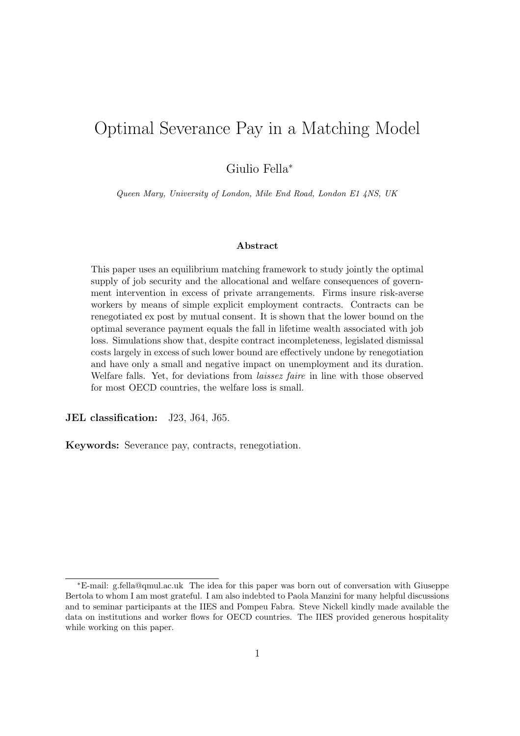# Optimal Severance Pay in a Matching Model

Giulio Fella<sup>∗</sup>

Queen Mary, University of London, Mile End Road, London E1 4NS, UK

#### Abstract

This paper uses an equilibrium matching framework to study jointly the optimal supply of job security and the allocational and welfare consequences of government intervention in excess of private arrangements. Firms insure risk-averse workers by means of simple explicit employment contracts. Contracts can be renegotiated ex post by mutual consent. It is shown that the lower bound on the optimal severance payment equals the fall in lifetime wealth associated with job loss. Simulations show that, despite contract incompleteness, legislated dismissal costs largely in excess of such lower bound are effectively undone by renegotiation and have only a small and negative impact on unemployment and its duration. Welfare falls. Yet, for deviations from laissez faire in line with those observed for most OECD countries, the welfare loss is small.

JEL classification: J23, J64, J65.

Keywords: Severance pay, contracts, renegotiation.

<sup>∗</sup>E-mail: g.fella@qmul.ac.uk The idea for this paper was born out of conversation with Giuseppe Bertola to whom I am most grateful. I am also indebted to Paola Manzini for many helpful discussions and to seminar participants at the IIES and Pompeu Fabra. Steve Nickell kindly made available the data on institutions and worker flows for OECD countries. The IIES provided generous hospitality while working on this paper.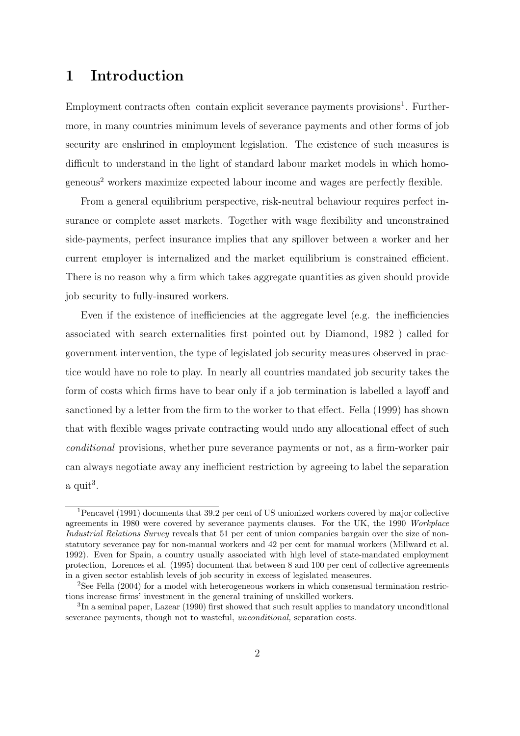## 1 Introduction

Employment contracts often contain explicit severance payments provisions<sup>1</sup>. Furthermore, in many countries minimum levels of severance payments and other forms of job security are enshrined in employment legislation. The existence of such measures is difficult to understand in the light of standard labour market models in which homogeneous<sup>2</sup> workers maximize expected labour income and wages are perfectly flexible.

From a general equilibrium perspective, risk-neutral behaviour requires perfect insurance or complete asset markets. Together with wage flexibility and unconstrained side-payments, perfect insurance implies that any spillover between a worker and her current employer is internalized and the market equilibrium is constrained efficient. There is no reason why a firm which takes aggregate quantities as given should provide job security to fully-insured workers.

Even if the existence of inefficiencies at the aggregate level (e.g. the inefficiencies associated with search externalities first pointed out by Diamond, 1982 ) called for government intervention, the type of legislated job security measures observed in practice would have no role to play. In nearly all countries mandated job security takes the form of costs which firms have to bear only if a job termination is labelled a layoff and sanctioned by a letter from the firm to the worker to that effect. Fella (1999) has shown that with flexible wages private contracting would undo any allocational effect of such conditional provisions, whether pure severance payments or not, as a firm-worker pair can always negotiate away any inefficient restriction by agreeing to label the separation  $a$  quit<sup>3</sup>.

<sup>1</sup>Pencavel (1991) documents that 39.2 per cent of US unionized workers covered by major collective agreements in 1980 were covered by severance payments clauses. For the UK, the 1990 Workplace Industrial Relations Survey reveals that 51 per cent of union companies bargain over the size of nonstatutory severance pay for non-manual workers and 42 per cent for manual workers (Millward et al. 1992). Even for Spain, a country usually associated with high level of state-mandated employment protection, Lorences et al. (1995) document that between 8 and 100 per cent of collective agreements in a given sector establish levels of job security in excess of legislated measeures.

<sup>2</sup>See Fella (2004) for a model with heterogeneous workers in which consensual termination restrictions increase firms' investment in the general training of unskilled workers.

<sup>&</sup>lt;sup>3</sup>In a seminal paper, Lazear (1990) first showed that such result applies to mandatory unconditional severance payments, though not to wasteful, *unconditional*, separation costs.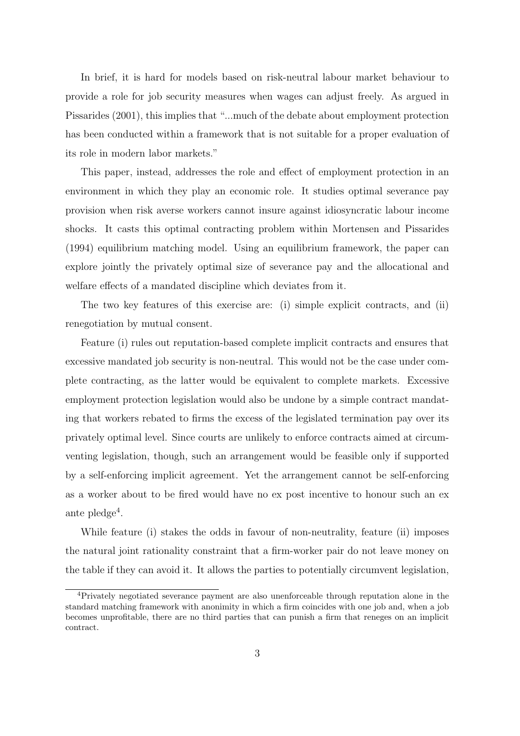In brief, it is hard for models based on risk-neutral labour market behaviour to provide a role for job security measures when wages can adjust freely. As argued in Pissarides (2001), this implies that "...much of the debate about employment protection has been conducted within a framework that is not suitable for a proper evaluation of its role in modern labor markets."

This paper, instead, addresses the role and effect of employment protection in an environment in which they play an economic role. It studies optimal severance pay provision when risk averse workers cannot insure against idiosyncratic labour income shocks. It casts this optimal contracting problem within Mortensen and Pissarides (1994) equilibrium matching model. Using an equilibrium framework, the paper can explore jointly the privately optimal size of severance pay and the allocational and welfare effects of a mandated discipline which deviates from it.

The two key features of this exercise are: (i) simple explicit contracts, and (ii) renegotiation by mutual consent.

Feature (i) rules out reputation-based complete implicit contracts and ensures that excessive mandated job security is non-neutral. This would not be the case under complete contracting, as the latter would be equivalent to complete markets. Excessive employment protection legislation would also be undone by a simple contract mandating that workers rebated to firms the excess of the legislated termination pay over its privately optimal level. Since courts are unlikely to enforce contracts aimed at circumventing legislation, though, such an arrangement would be feasible only if supported by a self-enforcing implicit agreement. Yet the arrangement cannot be self-enforcing as a worker about to be fired would have no ex post incentive to honour such an ex ante pledge<sup>4</sup>.

While feature (i) stakes the odds in favour of non-neutrality, feature (ii) imposes the natural joint rationality constraint that a firm-worker pair do not leave money on the table if they can avoid it. It allows the parties to potentially circumvent legislation,

<sup>4</sup>Privately negotiated severance payment are also unenforceable through reputation alone in the standard matching framework with anonimity in which a firm coincides with one job and, when a job becomes unprofitable, there are no third parties that can punish a firm that reneges on an implicit contract.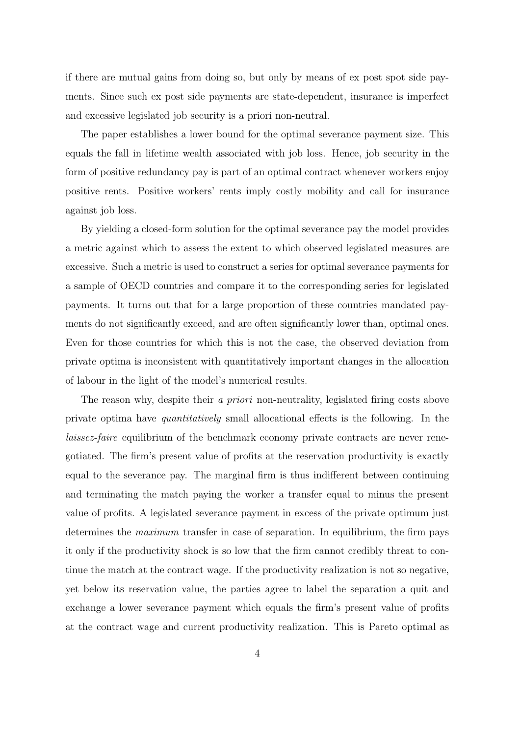if there are mutual gains from doing so, but only by means of ex post spot side payments. Since such ex post side payments are state-dependent, insurance is imperfect and excessive legislated job security is a priori non-neutral.

The paper establishes a lower bound for the optimal severance payment size. This equals the fall in lifetime wealth associated with job loss. Hence, job security in the form of positive redundancy pay is part of an optimal contract whenever workers enjoy positive rents. Positive workers' rents imply costly mobility and call for insurance against job loss.

By yielding a closed-form solution for the optimal severance pay the model provides a metric against which to assess the extent to which observed legislated measures are excessive. Such a metric is used to construct a series for optimal severance payments for a sample of OECD countries and compare it to the corresponding series for legislated payments. It turns out that for a large proportion of these countries mandated payments do not significantly exceed, and are often significantly lower than, optimal ones. Even for those countries for which this is not the case, the observed deviation from private optima is inconsistent with quantitatively important changes in the allocation of labour in the light of the model's numerical results.

The reason why, despite their a priori non-neutrality, legislated firing costs above private optima have quantitatively small allocational effects is the following. In the laissez-faire equilibrium of the benchmark economy private contracts are never renegotiated. The firm's present value of profits at the reservation productivity is exactly equal to the severance pay. The marginal firm is thus indifferent between continuing and terminating the match paying the worker a transfer equal to minus the present value of profits. A legislated severance payment in excess of the private optimum just determines the maximum transfer in case of separation. In equilibrium, the firm pays it only if the productivity shock is so low that the firm cannot credibly threat to continue the match at the contract wage. If the productivity realization is not so negative, yet below its reservation value, the parties agree to label the separation a quit and exchange a lower severance payment which equals the firm's present value of profits at the contract wage and current productivity realization. This is Pareto optimal as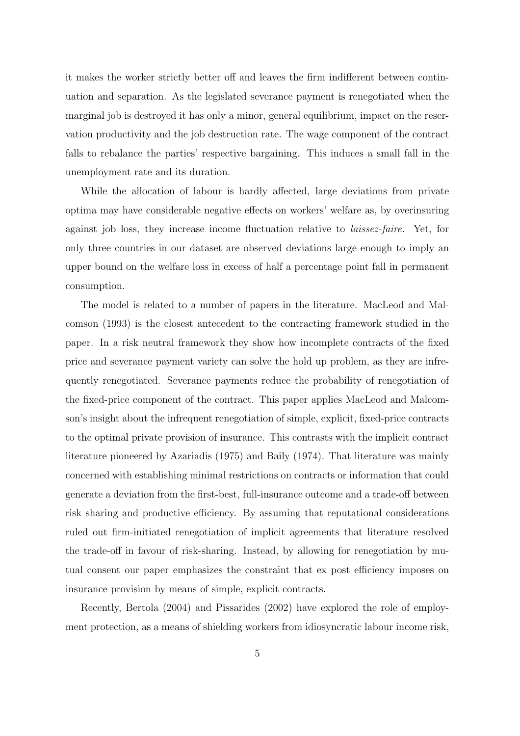it makes the worker strictly better off and leaves the firm indifferent between continuation and separation. As the legislated severance payment is renegotiated when the marginal job is destroyed it has only a minor, general equilibrium, impact on the reservation productivity and the job destruction rate. The wage component of the contract falls to rebalance the parties' respective bargaining. This induces a small fall in the unemployment rate and its duration.

While the allocation of labour is hardly affected, large deviations from private optima may have considerable negative effects on workers' welfare as, by overinsuring against job loss, they increase income fluctuation relative to laissez-faire. Yet, for only three countries in our dataset are observed deviations large enough to imply an upper bound on the welfare loss in excess of half a percentage point fall in permanent consumption.

The model is related to a number of papers in the literature. MacLeod and Malcomson (1993) is the closest antecedent to the contracting framework studied in the paper. In a risk neutral framework they show how incomplete contracts of the fixed price and severance payment variety can solve the hold up problem, as they are infrequently renegotiated. Severance payments reduce the probability of renegotiation of the fixed-price component of the contract. This paper applies MacLeod and Malcomson's insight about the infrequent renegotiation of simple, explicit, fixed-price contracts to the optimal private provision of insurance. This contrasts with the implicit contract literature pioneered by Azariadis (1975) and Baily (1974). That literature was mainly concerned with establishing minimal restrictions on contracts or information that could generate a deviation from the first-best, full-insurance outcome and a trade-off between risk sharing and productive efficiency. By assuming that reputational considerations ruled out firm-initiated renegotiation of implicit agreements that literature resolved the trade-off in favour of risk-sharing. Instead, by allowing for renegotiation by mutual consent our paper emphasizes the constraint that ex post efficiency imposes on insurance provision by means of simple, explicit contracts.

Recently, Bertola (2004) and Pissarides (2002) have explored the role of employment protection, as a means of shielding workers from idiosyncratic labour income risk,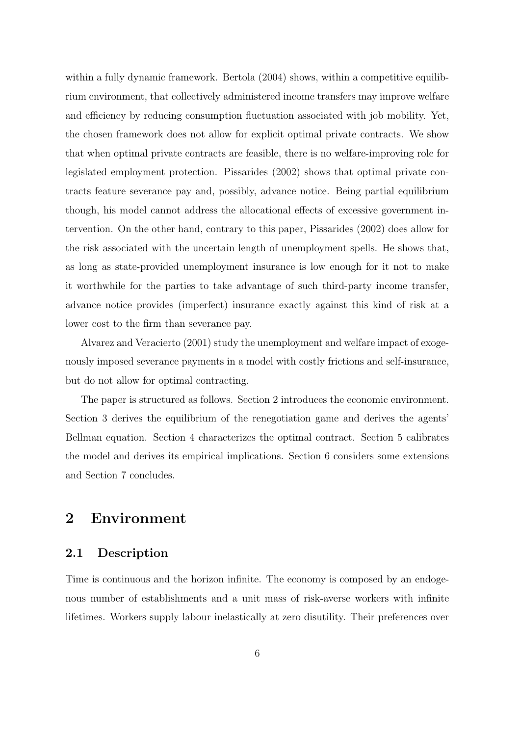within a fully dynamic framework. Bertola (2004) shows, within a competitive equilibrium environment, that collectively administered income transfers may improve welfare and efficiency by reducing consumption fluctuation associated with job mobility. Yet, the chosen framework does not allow for explicit optimal private contracts. We show that when optimal private contracts are feasible, there is no welfare-improving role for legislated employment protection. Pissarides (2002) shows that optimal private contracts feature severance pay and, possibly, advance notice. Being partial equilibrium though, his model cannot address the allocational effects of excessive government intervention. On the other hand, contrary to this paper, Pissarides (2002) does allow for the risk associated with the uncertain length of unemployment spells. He shows that, as long as state-provided unemployment insurance is low enough for it not to make it worthwhile for the parties to take advantage of such third-party income transfer, advance notice provides (imperfect) insurance exactly against this kind of risk at a lower cost to the firm than severance pay.

Alvarez and Veracierto (2001) study the unemployment and welfare impact of exogenously imposed severance payments in a model with costly frictions and self-insurance, but do not allow for optimal contracting.

The paper is structured as follows. Section 2 introduces the economic environment. Section 3 derives the equilibrium of the renegotiation game and derives the agents' Bellman equation. Section 4 characterizes the optimal contract. Section 5 calibrates the model and derives its empirical implications. Section 6 considers some extensions and Section 7 concludes.

## 2 Environment

### 2.1 Description

Time is continuous and the horizon infinite. The economy is composed by an endogenous number of establishments and a unit mass of risk-averse workers with infinite lifetimes. Workers supply labour inelastically at zero disutility. Their preferences over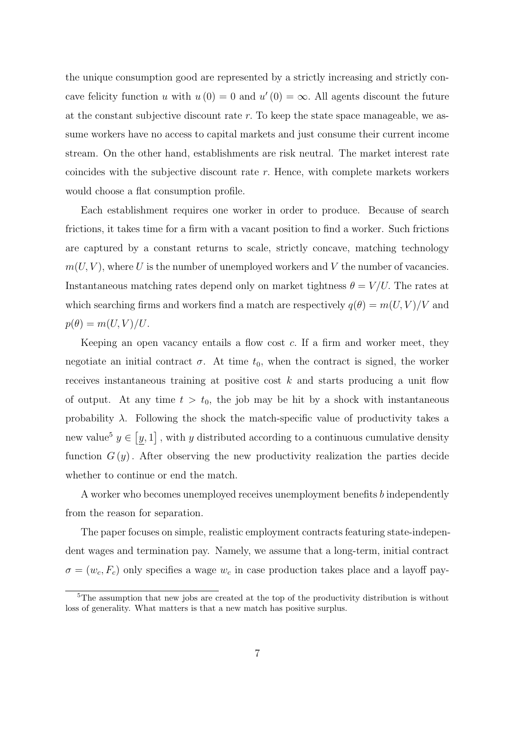the unique consumption good are represented by a strictly increasing and strictly concave felicity function u with  $u(0) = 0$  and  $u'(0) = \infty$ . All agents discount the future at the constant subjective discount rate  $r$ . To keep the state space manageable, we assume workers have no access to capital markets and just consume their current income stream. On the other hand, establishments are risk neutral. The market interest rate coincides with the subjective discount rate r. Hence, with complete markets workers would choose a flat consumption profile.

Each establishment requires one worker in order to produce. Because of search frictions, it takes time for a firm with a vacant position to find a worker. Such frictions are captured by a constant returns to scale, strictly concave, matching technology  $m(U, V)$ , where U is the number of unemployed workers and V the number of vacancies. Instantaneous matching rates depend only on market tightness  $\theta = V/U$ . The rates at which searching firms and workers find a match are respectively  $q(\theta) = m(U, V)/V$  and  $p(\theta) = m(U, V)/U.$ 

Keeping an open vacancy entails a flow cost c. If a firm and worker meet, they negotiate an initial contract  $\sigma$ . At time  $t_0$ , when the contract is signed, the worker receives instantaneous training at positive cost  $k$  and starts producing a unit flow of output. At any time  $t > t_0$ , the job may be hit by a shock with instantaneous probability  $\lambda$ . Following the shock the match-specific value of productivity takes a new value<sup>5</sup>  $y \in [y, 1]$ , with y distributed according to a continuous cumulative density function  $G(y)$ . After observing the new productivity realization the parties decide whether to continue or end the match.

A worker who becomes unemployed receives unemployment benefits b independently from the reason for separation.

The paper focuses on simple, realistic employment contracts featuring state-independent wages and termination pay. Namely, we assume that a long-term, initial contract  $\sigma = (w_c, F_c)$  only specifies a wage  $w_c$  in case production takes place and a layoff pay-

<sup>&</sup>lt;sup>5</sup>The assumption that new jobs are created at the top of the productivity distribution is without loss of generality. What matters is that a new match has positive surplus.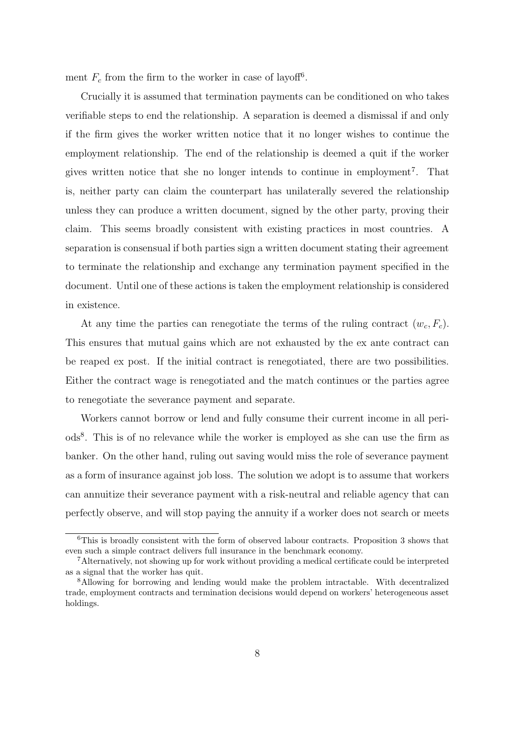ment  $F_c$  from the firm to the worker in case of layoff<sup>6</sup>.

Crucially it is assumed that termination payments can be conditioned on who takes verifiable steps to end the relationship. A separation is deemed a dismissal if and only if the firm gives the worker written notice that it no longer wishes to continue the employment relationship. The end of the relationship is deemed a quit if the worker gives written notice that she no longer intends to continue in employment 7 . That is, neither party can claim the counterpart has unilaterally severed the relationship unless they can produce a written document, signed by the other party, proving their claim. This seems broadly consistent with existing practices in most countries. A separation is consensual if both parties sign a written document stating their agreement to terminate the relationship and exchange any termination payment specified in the document. Until one of these actions is taken the employment relationship is considered in existence.

At any time the parties can renegotiate the terms of the ruling contract  $(w_c, F_c)$ . This ensures that mutual gains which are not exhausted by the ex ante contract can be reaped ex post. If the initial contract is renegotiated, there are two possibilities. Either the contract wage is renegotiated and the match continues or the parties agree to renegotiate the severance payment and separate.

Workers cannot borrow or lend and fully consume their current income in all periods<sup>8</sup> . This is of no relevance while the worker is employed as she can use the firm as banker. On the other hand, ruling out saving would miss the role of severance payment as a form of insurance against job loss. The solution we adopt is to assume that workers can annuitize their severance payment with a risk-neutral and reliable agency that can perfectly observe, and will stop paying the annuity if a worker does not search or meets

 $6$ This is broadly consistent with the form of observed labour contracts. Proposition 3 shows that even such a simple contract delivers full insurance in the benchmark economy.

<sup>7</sup>Alternatively, not showing up for work without providing a medical certificate could be interpreted as a signal that the worker has quit.

<sup>8</sup>Allowing for borrowing and lending would make the problem intractable. With decentralized trade, employment contracts and termination decisions would depend on workers' heterogeneous asset holdings.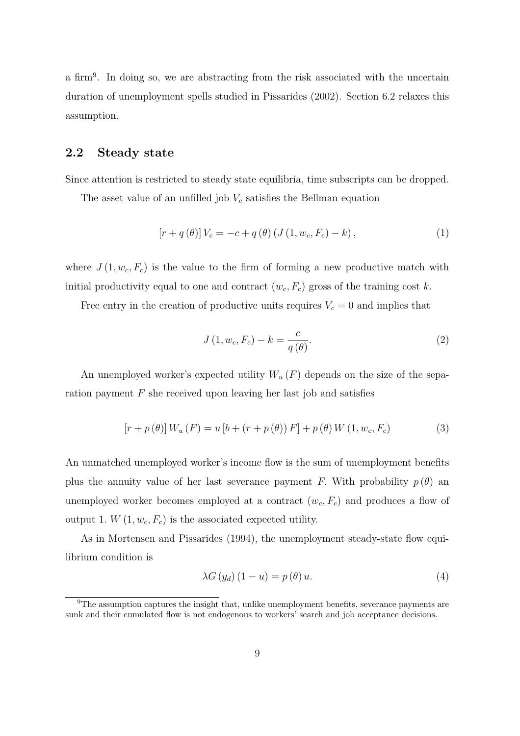a firm<sup>9</sup>. In doing so, we are abstracting from the risk associated with the uncertain duration of unemployment spells studied in Pissarides (2002). Section 6.2 relaxes this assumption.

### 2.2 Steady state

Since attention is restricted to steady state equilibria, time subscripts can be dropped.

The asset value of an unfilled job  $V_c$  satisfies the Bellman equation

$$
[r + q(\theta)]V_c = -c + q(\theta) (J(1, w_c, F_c) - k),
$$
\n(1)

where  $J(1, w_c, F_c)$  is the value to the firm of forming a new productive match with initial productivity equal to one and contract  $(w_c, F_c)$  gross of the training cost k.

Free entry in the creation of productive units requires  $V_c = 0$  and implies that

$$
J(1, w_c, F_c) - k = \frac{c}{q(\theta)}.
$$
\n
$$
(2)
$$

An unemployed worker's expected utility  $W_u(F)$  depends on the size of the separation payment  $F$  she received upon leaving her last job and satisfies

$$
[r + p(\theta)] W_u(F) = u [b + (r + p(\theta)) F] + p(\theta) W (1, w_c, F_c)
$$
 (3)

An unmatched unemployed worker's income flow is the sum of unemployment benefits plus the annuity value of her last severance payment F. With probability  $p(\theta)$  an unemployed worker becomes employed at a contract  $(w_c, F_c)$  and produces a flow of output 1.  $W(1, w_c, F_c)$  is the associated expected utility.

As in Mortensen and Pissarides (1994), the unemployment steady-state flow equilibrium condition is

$$
\lambda G\left(y_d\right)\left(1-u\right) = p\left(\theta\right)u.\tag{4}
$$

 $9$ The assumption captures the insight that, unlike unemployment benefits, severance payments are sunk and their cumulated flow is not endogenous to workers' search and job acceptance decisions.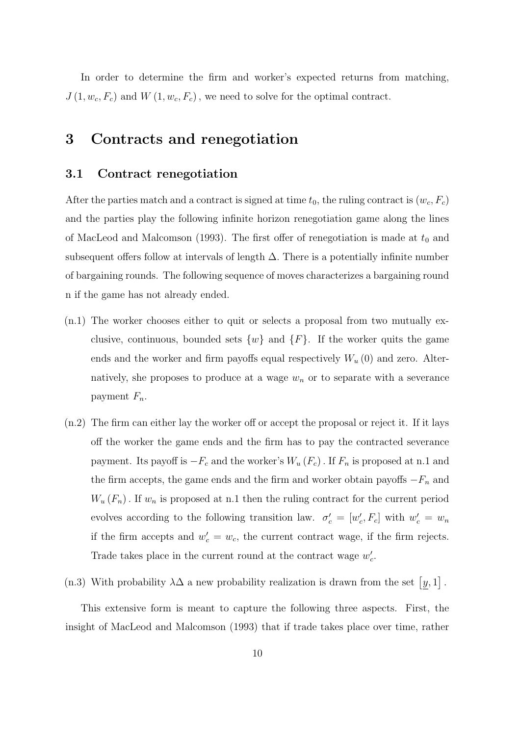In order to determine the firm and worker's expected returns from matching,  $J(1, w_c, F_c)$  and  $W(1, w_c, F_c)$ , we need to solve for the optimal contract.

## 3 Contracts and renegotiation

#### 3.1 Contract renegotiation

After the parties match and a contract is signed at time  $t_0$ , the ruling contract is  $(w_c, F_c)$ and the parties play the following infinite horizon renegotiation game along the lines of MacLeod and Malcomson (1993). The first offer of renegotiation is made at  $t_0$  and subsequent offers follow at intervals of length  $\Delta$ . There is a potentially infinite number of bargaining rounds. The following sequence of moves characterizes a bargaining round n if the game has not already ended.

- $(n,1)$  The worker chooses either to quit or selects a proposal from two mutually exclusive, continuous, bounded sets  $\{w\}$  and  $\{F\}$ . If the worker quits the game ends and the worker and firm payoffs equal respectively  $W_u(0)$  and zero. Alternatively, she proposes to produce at a wage  $w_n$  or to separate with a severance payment  $F_n$ .
- (n.2) The firm can either lay the worker off or accept the proposal or reject it. If it lays off the worker the game ends and the firm has to pay the contracted severance payment. Its payoff is  $-F_c$  and the worker's  $W_u(F_c)$ . If  $F_n$  is proposed at n.1 and the firm accepts, the game ends and the firm and worker obtain payoffs  $-F_n$  and  $W_u(F_n)$ . If  $w_n$  is proposed at n.1 then the ruling contract for the current period evolves according to the following transition law.  $\sigma'_{c} = [w'_{c}, F_{c}]$  with  $w'_{c} = w_{n}$ if the firm accepts and  $w'_c = w_c$ , the current contract wage, if the firm rejects. Trade takes place in the current round at the contract wage  $w'_c$ .

(n.3) With probability  $\lambda\Delta$  a new probability realization is drawn from the set  $[y,1]$ .

This extensive form is meant to capture the following three aspects. First, the insight of MacLeod and Malcomson (1993) that if trade takes place over time, rather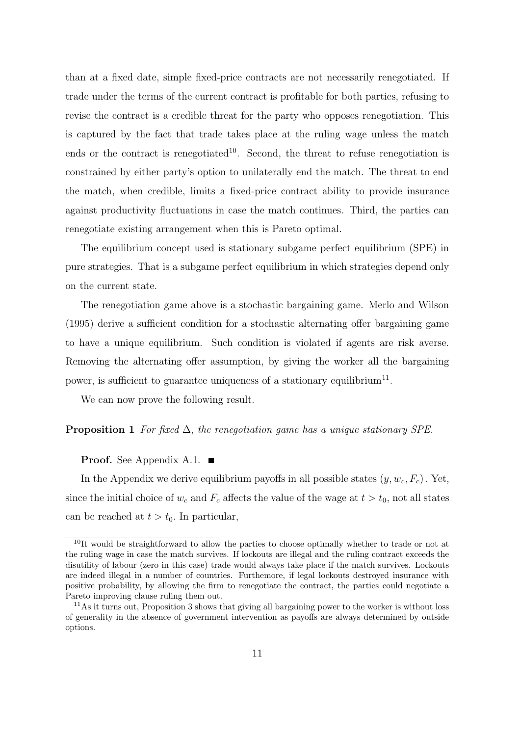than at a fixed date, simple fixed-price contracts are not necessarily renegotiated. If trade under the terms of the current contract is profitable for both parties, refusing to revise the contract is a credible threat for the party who opposes renegotiation. This is captured by the fact that trade takes place at the ruling wage unless the match ends or the contract is renegotiated<sup>10</sup>. Second, the threat to refuse renegotiation is constrained by either party's option to unilaterally end the match. The threat to end the match, when credible, limits a fixed-price contract ability to provide insurance against productivity fluctuations in case the match continues. Third, the parties can renegotiate existing arrangement when this is Pareto optimal.

The equilibrium concept used is stationary subgame perfect equilibrium (SPE) in pure strategies. That is a subgame perfect equilibrium in which strategies depend only on the current state.

The renegotiation game above is a stochastic bargaining game. Merlo and Wilson (1995) derive a sufficient condition for a stochastic alternating offer bargaining game to have a unique equilibrium. Such condition is violated if agents are risk averse. Removing the alternating offer assumption, by giving the worker all the bargaining power, is sufficient to guarantee uniqueness of a stationary equilibrium<sup>11</sup>.

We can now prove the following result.

#### **Proposition 1** For fixed  $\Delta$ , the renegotiation game has a unique stationary SPE.

#### **Proof.** See Appendix A.1.  $\blacksquare$

In the Appendix we derive equilibrium payoffs in all possible states  $(y, w_c, F_c)$ . Yet, since the initial choice of  $w_c$  and  $F_c$  affects the value of the wage at  $t > t_0$ , not all states can be reached at  $t > t_0$ . In particular,

<sup>&</sup>lt;sup>10</sup>It would be straightforward to allow the parties to choose optimally whether to trade or not at the ruling wage in case the match survives. If lockouts are illegal and the ruling contract exceeds the disutility of labour (zero in this case) trade would always take place if the match survives. Lockouts are indeed illegal in a number of countries. Furthemore, if legal lockouts destroyed insurance with positive probability, by allowing the firm to renegotiate the contract, the parties could negotiate a Pareto improving clause ruling them out.

 $11<sup>11</sup>$ As it turns out, Proposition 3 shows that giving all bargaining power to the worker is without loss of generality in the absence of government intervention as payoffs are always determined by outside options.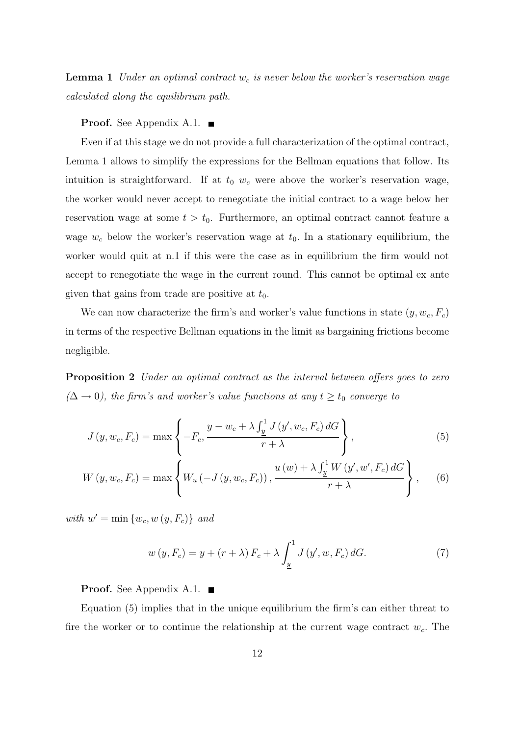**Lemma 1** Under an optimal contract  $w_c$  is never below the worker's reservation wage calculated along the equilibrium path.

#### **Proof.** See Appendix A.1.  $\blacksquare$

Even if at this stage we do not provide a full characterization of the optimal contract, Lemma 1 allows to simplify the expressions for the Bellman equations that follow. Its intuition is straightforward. If at  $t_0$  w<sub>c</sub> were above the worker's reservation wage, the worker would never accept to renegotiate the initial contract to a wage below her reservation wage at some  $t > t_0$ . Furthermore, an optimal contract cannot feature a wage  $w_c$  below the worker's reservation wage at  $t_0$ . In a stationary equilibrium, the worker would quit at n.1 if this were the case as in equilibrium the firm would not accept to renegotiate the wage in the current round. This cannot be optimal ex ante given that gains from trade are positive at  $t_0$ .

We can now characterize the firm's and worker's value functions in state  $(y, w_c, F_c)$ in terms of the respective Bellman equations in the limit as bargaining frictions become negligible.

**Proposition 2** Under an optimal contract as the interval between offers goes to zero  $(\Delta \rightarrow 0)$ , the firm's and worker's value functions at any  $t \geq t_0$  converge to

$$
J(y, w_c, F_c) = \max\left\{-F_c, \frac{y - w_c + \lambda \int_{\frac{y}{2}}^1 J(y', w_c, F_c) dG}{r + \lambda}\right\},
$$
\n
$$
(5)
$$

$$
W(y, w_c, F_c) = \max \left\{ W_u \left( -J(y, w_c, F_c) \right), \frac{u(w) + \lambda \int_{\underline{y}}^1 W(y', w', F_c) dG}{r + \lambda} \right\}, \quad (6)
$$

with  $w' = \min \{w_c, w(y, F_c)\}\$ and

$$
w(y, F_c) = y + (r + \lambda) F_c + \lambda \int_{\underline{y}}^{1} J(y', w, F_c) dG.
$$
 (7)

**Proof.** See Appendix A.1.  $\blacksquare$ 

Equation (5) implies that in the unique equilibrium the firm's can either threat to fire the worker or to continue the relationship at the current wage contract  $w_c$ . The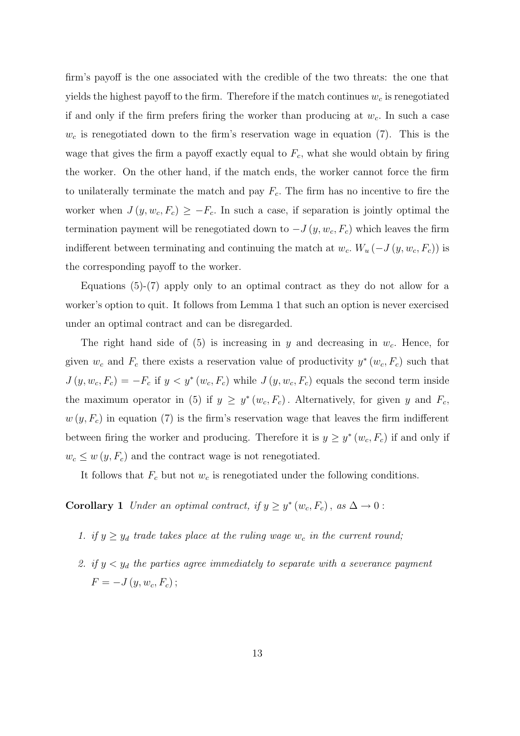firm's payoff is the one associated with the credible of the two threats: the one that yields the highest payoff to the firm. Therefore if the match continues  $w_c$  is renegotiated if and only if the firm prefers firing the worker than producing at  $w_c$ . In such a case  $w_c$  is renegotiated down to the firm's reservation wage in equation (7). This is the wage that gives the firm a payoff exactly equal to  $F_c$ , what she would obtain by firing the worker. On the other hand, if the match ends, the worker cannot force the firm to unilaterally terminate the match and pay  $F_c$ . The firm has no incentive to fire the worker when  $J(y, w_c, F_c) \geq -F_c$ . In such a case, if separation is jointly optimal the termination payment will be renegotiated down to  $-J(y, w_c, F_c)$  which leaves the firm indifferent between terminating and continuing the match at  $w_c$ .  $W_u$  ( $-J(y, w_c, F_c)$ ) is the corresponding payoff to the worker.

Equations (5)-(7) apply only to an optimal contract as they do not allow for a worker's option to quit. It follows from Lemma 1 that such an option is never exercised under an optimal contract and can be disregarded.

The right hand side of  $(5)$  is increasing in y and decreasing in  $w_c$ . Hence, for given  $w_c$  and  $F_c$  there exists a reservation value of productivity  $y^*(w_c, F_c)$  such that  $J(y, w_c, F_c) = -F_c$  if  $y < y^*(w_c, F_c)$  while  $J(y, w_c, F_c)$  equals the second term inside the maximum operator in (5) if  $y \geq y^*(w_c, F_c)$ . Alternatively, for given y and  $F_c$ ,  $w(y, F_c)$  in equation (7) is the firm's reservation wage that leaves the firm indifferent between firing the worker and producing. Therefore it is  $y \geq y^*(w_c, F_c)$  if and only if  $w_c \leq w(y, F_c)$  and the contract wage is not renegotiated.

It follows that  $F_c$  but not  $w_c$  is renegotiated under the following conditions.

**Corollary 1** Under an optimal contract, if  $y \geq y^*(w_c, F_c)$ , as  $\Delta \to 0$ :

- 1. if  $y \ge y_d$  trade takes place at the ruling wage  $w_c$  in the current round;
- 2. if  $y < y_d$  the parties agree immediately to separate with a severance payment  $F = -J(y, w_c, F_c);$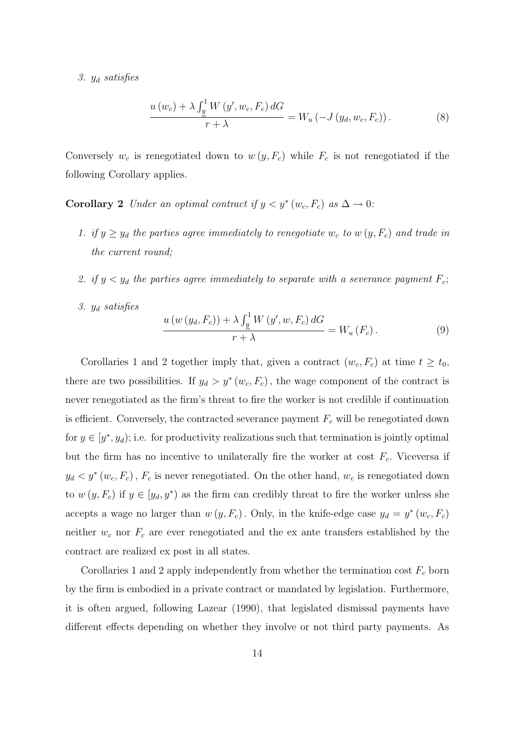#### 3.  $y_d$  satisfies

$$
\frac{u(w_c) + \lambda \int_{\underline{y}}^1 W(y', w_c, F_c) dG}{r + \lambda} = W_u(-J(y_d, w_c, F_c)).
$$
\n(8)

Conversely  $w_c$  is renegotiated down to  $w(y, F_c)$  while  $F_c$  is not renegotiated if the following Corollary applies.

- **Corollary 2** Under an optimal contract if  $y < y^*(w_c, F_c)$  as  $\Delta \to 0$ :
	- 1. if  $y \ge y_d$  the parties agree immediately to renegotiate  $w_c$  to  $w(y, F_c)$  and trade in the current round;
	- 2. if  $y < y_d$  the parties agree immediately to separate with a severance payment  $F_c$ ;
	- 3.  $y_d$  satisfies

$$
\frac{u(w(y_d, F_c)) + \lambda \int_{\underline{y}}^1 W(y', w, F_c) dG}{r + \lambda} = W_u(F_c).
$$
 (9)

Corollaries 1 and 2 together imply that, given a contract  $(w_c, F_c)$  at time  $t \geq t_0$ , there are two possibilities. If  $y_d > y^*(w_c, F_c)$ , the wage component of the contract is never renegotiated as the firm's threat to fire the worker is not credible if continuation is efficient. Conversely, the contracted severance payment  $F_c$  will be renegotiated down for  $y \in [y^*, y_d)$ ; i.e. for productivity realizations such that termination is jointly optimal but the firm has no incentive to unilaterally fire the worker at cost  $F_c$ . Viceversa if  $y_d < y^*(w_c, F_c)$ ,  $F_c$  is never renegotiated. On the other hand,  $w_c$  is renegotiated down to  $w(y, F_c)$  if  $y \in [y_d, y^*)$  as the firm can credibly threat to fire the worker unless she accepts a wage no larger than  $w(y, F_c)$ . Only, in the knife-edge case  $y_d = y^*(w_c, F_c)$ neither  $w_c$  nor  $F_c$  are ever renegotiated and the ex ante transfers established by the contract are realized ex post in all states.

Corollaries 1 and 2 apply independently from whether the termination cost  $F_c$  born by the firm is embodied in a private contract or mandated by legislation. Furthermore, it is often argued, following Lazear (1990), that legislated dismissal payments have different effects depending on whether they involve or not third party payments. As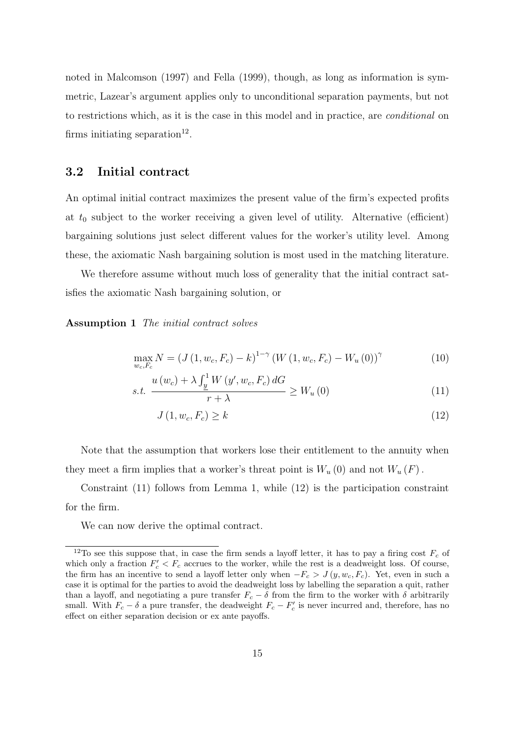noted in Malcomson (1997) and Fella (1999), though, as long as information is symmetric, Lazear's argument applies only to unconditional separation payments, but not to restrictions which, as it is the case in this model and in practice, are conditional on firms initiating separation<sup>12</sup>.

### 3.2 Initial contract

An optimal initial contract maximizes the present value of the firm's expected profits at  $t_0$  subject to the worker receiving a given level of utility. Alternative (efficient) bargaining solutions just select different values for the worker's utility level. Among these, the axiomatic Nash bargaining solution is most used in the matching literature.

We therefore assume without much loss of generality that the initial contract satisfies the axiomatic Nash bargaining solution, or

#### Assumption 1 The initial contract solves

$$
\max_{w_c, F_c} N = (J(1, w_c, F_c) - k)^{1-\gamma} (W(1, w_c, F_c) - W_u(0))^{\gamma}
$$
(10)

$$
s.t. \frac{u(w_c) + \lambda \int_{\underline{y}}^1 W(y', w_c, F_c) dG}{r + \lambda} \ge W_u(0)
$$
\n(11)

$$
J(1, w_c, F_c) \ge k \tag{12}
$$

Note that the assumption that workers lose their entitlement to the annuity when they meet a firm implies that a worker's threat point is  $W_u(0)$  and not  $W_u(F)$ .

Constraint (11) follows from Lemma 1, while (12) is the participation constraint for the firm.

We can now derive the optimal contract.

<sup>&</sup>lt;sup>12</sup>To see this suppose that, in case the firm sends a layoff letter, it has to pay a firing cost  $F_c$  of which only a fraction  $F'_c < F_c$  accrues to the worker, while the rest is a deadweight loss. Of course, the firm has an incentive to send a layoff letter only when  $-F_c > J(y, w_c, F_c)$ . Yet, even in such a case it is optimal for the parties to avoid the deadweight loss by labelling the separation a quit, rather than a layoff, and negotiating a pure transfer  $F_c - \delta$  from the firm to the worker with  $\delta$  arbitrarily small. With  $F_c - \delta$  a pure transfer, the deadweight  $F_c - F'_c$  is never incurred and, therefore, has no effect on either separation decision or ex ante payoffs.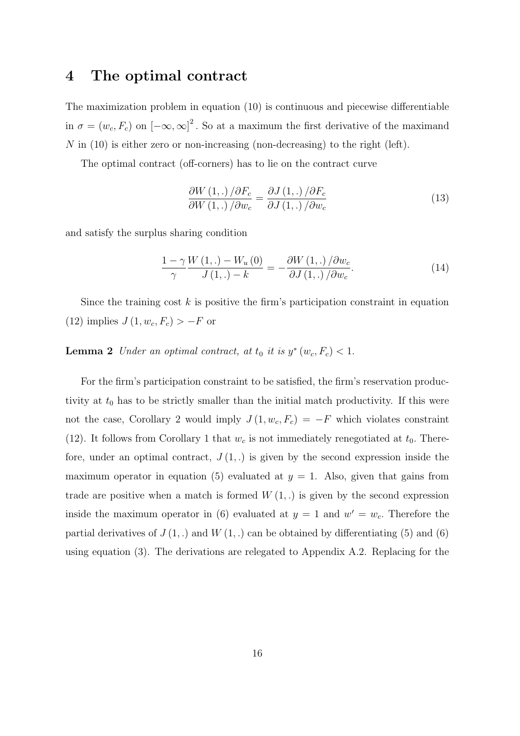## 4 The optimal contract

The maximization problem in equation (10) is continuous and piecewise differentiable in  $\sigma = (w_c, F_c)$  on  $[-\infty, \infty]^2$ . So at a maximum the first derivative of the maximand N in  $(10)$  is either zero or non-increasing (non-decreasing) to the right (left).

The optimal contract (off-corners) has to lie on the contract curve

$$
\frac{\partial W\left(1,\ldots\right)/\partial F_c}{\partial W\left(1,\ldots\right)/\partial w_c} = \frac{\partial J\left(1,\ldots\right)/\partial F_c}{\partial J\left(1,\ldots\right)/\partial w_c} \tag{13}
$$

and satisfy the surplus sharing condition

$$
\frac{1-\gamma}{\gamma} \frac{W(1,.) - W_u(0)}{J(1,.) - k} = -\frac{\partial W(1,.)}{\partial J(1,.)/\partial w_c}.
$$
\n(14)

Since the training cost  $k$  is positive the firm's participation constraint in equation (12) implies  $J(1, w_c, F_c) > -F$  or

**Lemma 2** Under an optimal contract, at  $t_0$  it is  $y^*(w_c, F_c) < 1$ .

For the firm's participation constraint to be satisfied, the firm's reservation productivity at  $t_0$  has to be strictly smaller than the initial match productivity. If this were not the case, Corollary 2 would imply  $J(1, w_c, F_c) = -F$  which violates constraint (12). It follows from Corollary 1 that  $w_c$  is not immediately renegotiated at  $t_0$ . Therefore, under an optimal contract,  $J(1,.)$  is given by the second expression inside the maximum operator in equation (5) evaluated at  $y = 1$ . Also, given that gains from trade are positive when a match is formed  $W(1,.)$  is given by the second expression inside the maximum operator in (6) evaluated at  $y = 1$  and  $w' = w_c$ . Therefore the partial derivatives of  $J(1,.)$  and  $W(1,.)$  can be obtained by differentiating (5) and (6) using equation (3). The derivations are relegated to Appendix A.2. Replacing for the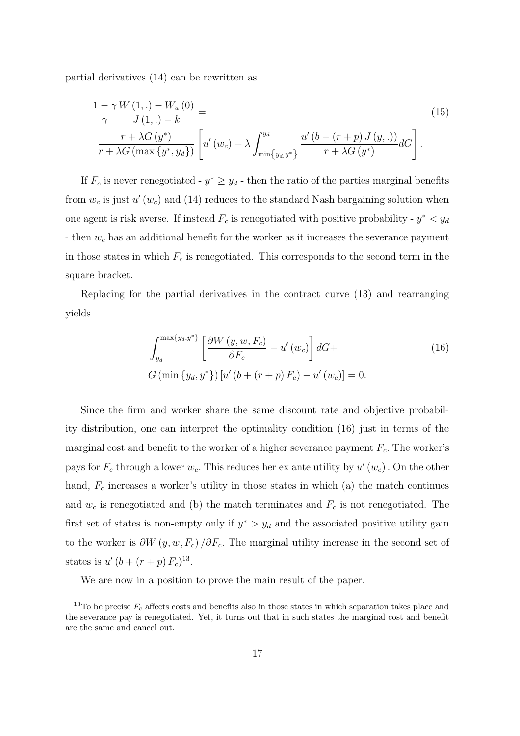partial derivatives (14) can be rewritten as

$$
\frac{1-\gamma}{\gamma} \frac{W(1,.) - W_u(0)}{J(1,.) - k} = \frac{r + \lambda G(y^*)}{r + \lambda G(\max\{y^*, y_d\})} \left[ u'(w_c) + \lambda \int_{\min\{y_d, y^*\}}^{y_d} \frac{u'(b - (r+p) J(y,.))}{r + \lambda G(y^*)} dG \right].
$$
\n(15)

If  $F_c$  is never renegotiated -  $y^* \ge y_d$  - then the ratio of the parties marginal benefits from  $w_c$  is just  $u'(w_c)$  and (14) reduces to the standard Nash bargaining solution when one agent is risk averse. If instead  $F_c$  is renegotiated with positive probability -  $y^* < y_d$ - then  $w_c$  has an additional benefit for the worker as it increases the severance payment in those states in which  $F_c$  is renegotiated. This corresponds to the second term in the square bracket.

Replacing for the partial derivatives in the contract curve (13) and rearranging yields

$$
\int_{y_d}^{\max\{y_d, y^*\}} \left[ \frac{\partial W\left(y, w, F_c\right)}{\partial F_c} - u'\left(w_c\right) \right] dG +
$$
\n
$$
G\left(\min\left\{y_d, y^*\right\}\right) \left[ u'\left(b + \left(r + p\right) F_c\right) - u'\left(w_c\right) \right] = 0.
$$
\n(16)

Since the firm and worker share the same discount rate and objective probability distribution, one can interpret the optimality condition (16) just in terms of the marginal cost and benefit to the worker of a higher severance payment  $F_c$ . The worker's pays for  $F_c$  through a lower  $w_c$ . This reduces her ex ante utility by  $u'(w_c)$ . On the other hand,  $F_c$  increases a worker's utility in those states in which (a) the match continues and  $w_c$  is renegotiated and (b) the match terminates and  $F_c$  is not renegotiated. The first set of states is non-empty only if  $y^* > y_d$  and the associated positive utility gain to the worker is  $\partial W(y, w, F_c) / \partial F_c$ . The marginal utility increase in the second set of states is  $u'(b + (r + p) F_c)^{13}$ .

We are now in a position to prove the main result of the paper.

<sup>&</sup>lt;sup>13</sup>To be precise  $F_c$  affects costs and benefits also in those states in which separation takes place and the severance pay is renegotiated. Yet, it turns out that in such states the marginal cost and benefit are the same and cancel out.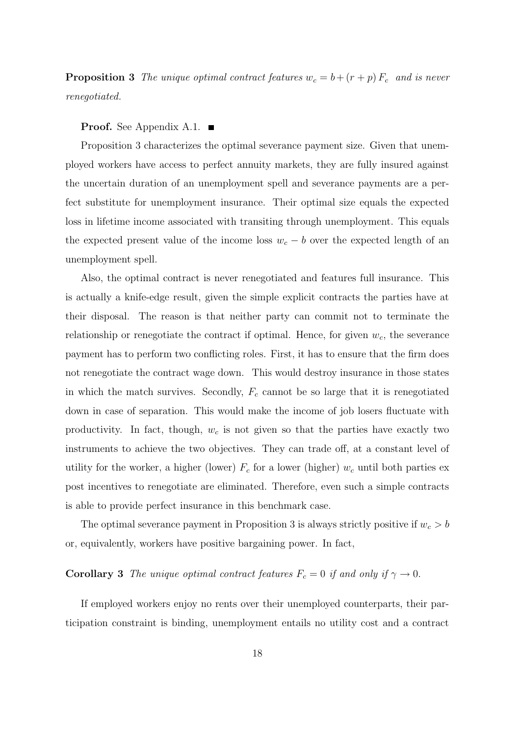**Proposition 3** The unique optimal contract features  $w_c = b + (r + p) F_c$  and is never renegotiated.

#### **Proof.** See Appendix A.1.  $\blacksquare$

Proposition 3 characterizes the optimal severance payment size. Given that unemployed workers have access to perfect annuity markets, they are fully insured against the uncertain duration of an unemployment spell and severance payments are a perfect substitute for unemployment insurance. Their optimal size equals the expected loss in lifetime income associated with transiting through unemployment. This equals the expected present value of the income loss  $w_c - b$  over the expected length of an unemployment spell.

Also, the optimal contract is never renegotiated and features full insurance. This is actually a knife-edge result, given the simple explicit contracts the parties have at their disposal. The reason is that neither party can commit not to terminate the relationship or renegotiate the contract if optimal. Hence, for given  $w_c$ , the severance payment has to perform two conflicting roles. First, it has to ensure that the firm does not renegotiate the contract wage down. This would destroy insurance in those states in which the match survives. Secondly,  $F_c$  cannot be so large that it is renegotiated down in case of separation. This would make the income of job losers fluctuate with productivity. In fact, though,  $w_c$  is not given so that the parties have exactly two instruments to achieve the two objectives. They can trade off, at a constant level of utility for the worker, a higher (lower)  $F_c$  for a lower (higher)  $w_c$  until both parties ex post incentives to renegotiate are eliminated. Therefore, even such a simple contracts is able to provide perfect insurance in this benchmark case.

The optimal severance payment in Proposition 3 is always strictly positive if  $w_c > b$ or, equivalently, workers have positive bargaining power. In fact,

# **Corollary 3** The unique optimal contract features  $F_c = 0$  if and only if  $\gamma \to 0$ .

If employed workers enjoy no rents over their unemployed counterparts, their participation constraint is binding, unemployment entails no utility cost and a contract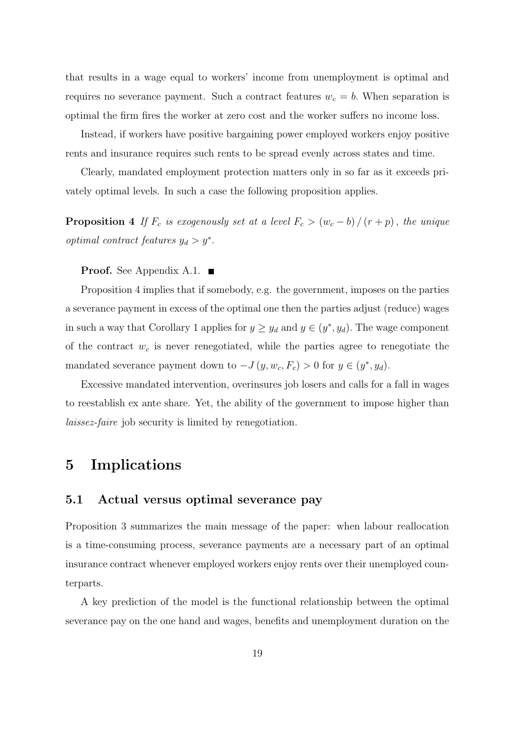that results in a wage equal to workers' income from unemployment is optimal and requires no severance payment. Such a contract features  $w_c = b$ . When separation is optimal the firm fires the worker at zero cost and the worker suffers no income loss.

Instead, if workers have positive bargaining power employed workers enjoy positive rents and insurance requires such rents to be spread evenly across states and time.

Clearly, mandated employment protection matters only in so far as it exceeds privately optimal levels. In such a case the following proposition applies.

**Proposition 4** If  $F_c$  is exogenously set at a level  $F_c > (w_c - b)/(r + p)$ , the unique *optimal contract features*  $y_d > y^*$ .

**Proof.** See Appendix A.1.  $\blacksquare$ 

Proposition 4 implies that if somebody, e.g. the government, imposes on the parties a severance payment in excess of the optimal one then the parties adjust (reduce) wages in such a way that Corollary 1 applies for  $y \ge y_d$  and  $y \in (y^*, y_d)$ . The wage component of the contract  $w_c$  is never renegotiated, while the parties agree to renegotiate the mandated severance payment down to  $-J(y, w_c, F_c) > 0$  for  $y \in (y^*, y_d)$ .

Excessive mandated intervention, overinsures job losers and calls for a fall in wages to reestablish ex ante share. Yet, the ability of the government to impose higher than laissez-faire job security is limited by renegotiation.

## 5 Implications

### 5.1 Actual versus optimal severance pay

Proposition 3 summarizes the main message of the paper: when labour reallocation is a time-consuming process, severance payments are a necessary part of an optimal insurance contract whenever employed workers enjoy rents over their unemployed counterparts.

A key prediction of the model is the functional relationship between the optimal severance pay on the one hand and wages, benefits and unemployment duration on the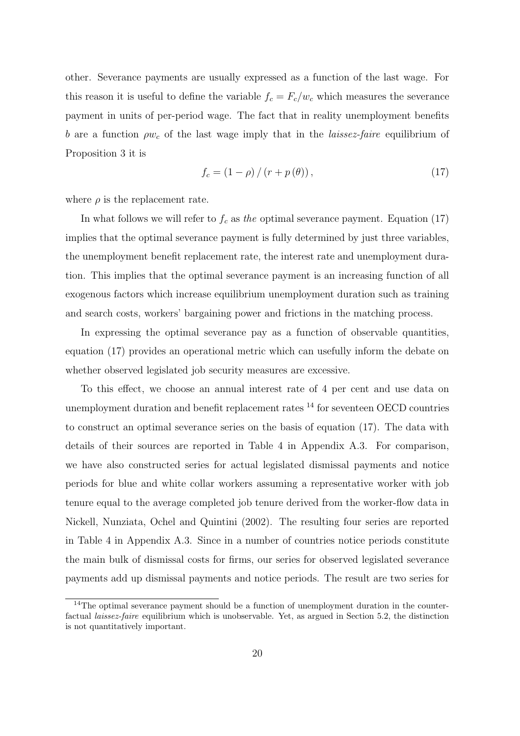other. Severance payments are usually expressed as a function of the last wage. For this reason it is useful to define the variable  $f_c = F_c/w_c$  which measures the severance payment in units of per-period wage. The fact that in reality unemployment benefits b are a function  $\rho w_c$  of the last wage imply that in the *laissez-faire* equilibrium of Proposition 3 it is

$$
f_c = (1 - \rho) / (r + p(\theta)),
$$
\n(17)

where  $\rho$  is the replacement rate.

In what follows we will refer to  $f_c$  as the optimal severance payment. Equation (17) implies that the optimal severance payment is fully determined by just three variables, the unemployment benefit replacement rate, the interest rate and unemployment duration. This implies that the optimal severance payment is an increasing function of all exogenous factors which increase equilibrium unemployment duration such as training and search costs, workers' bargaining power and frictions in the matching process.

In expressing the optimal severance pay as a function of observable quantities, equation (17) provides an operational metric which can usefully inform the debate on whether observed legislated job security measures are excessive.

To this effect, we choose an annual interest rate of 4 per cent and use data on unemployment duration and benefit replacement rates <sup>14</sup> for seventeen OECD countries to construct an optimal severance series on the basis of equation (17). The data with details of their sources are reported in Table 4 in Appendix A.3. For comparison, we have also constructed series for actual legislated dismissal payments and notice periods for blue and white collar workers assuming a representative worker with job tenure equal to the average completed job tenure derived from the worker-flow data in Nickell, Nunziata, Ochel and Quintini (2002). The resulting four series are reported in Table 4 in Appendix A.3. Since in a number of countries notice periods constitute the main bulk of dismissal costs for firms, our series for observed legislated severance payments add up dismissal payments and notice periods. The result are two series for

<sup>&</sup>lt;sup>14</sup>The optimal severance payment should be a function of unemployment duration in the counterfactual laissez-faire equilibrium which is unobservable. Yet, as argued in Section 5.2, the distinction is not quantitatively important.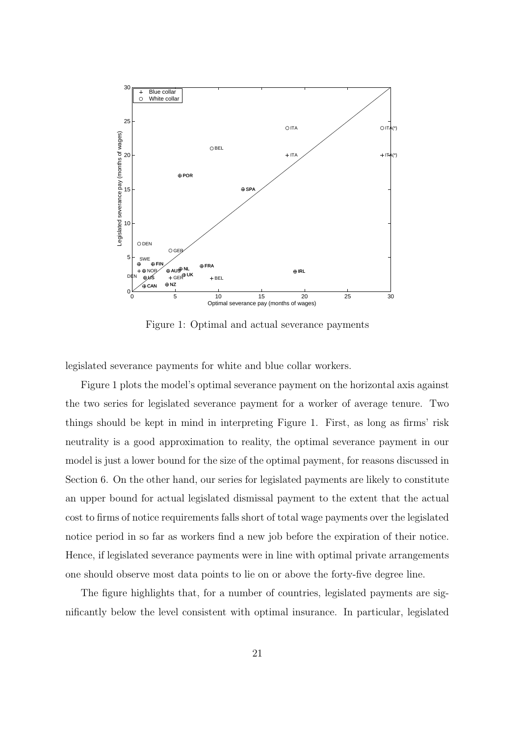

Figure 1: Optimal and actual severance payments

legislated severance payments for white and blue collar workers.

Figure 1 plots the model's optimal severance payment on the horizontal axis against the two series for legislated severance payment for a worker of average tenure. Two things should be kept in mind in interpreting Figure 1. First, as long as firms' risk neutrality is a good approximation to reality, the optimal severance payment in our model is just a lower bound for the size of the optimal payment, for reasons discussed in Section 6. On the other hand, our series for legislated payments are likely to constitute an upper bound for actual legislated dismissal payment to the extent that the actual cost to firms of notice requirements falls short of total wage payments over the legislated notice period in so far as workers find a new job before the expiration of their notice. Hence, if legislated severance payments were in line with optimal private arrangements one should observe most data points to lie on or above the forty-five degree line.

The figure highlights that, for a number of countries, legislated payments are significantly below the level consistent with optimal insurance. In particular, legislated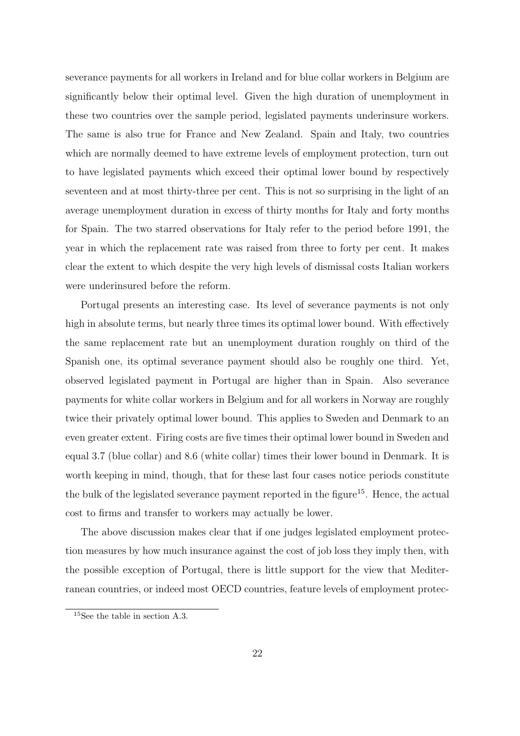severance payments for all workers in Ireland and for blue collar workers in Belgium are significantly below their optimal level. Given the high duration of unemployment in these two countries over the sample period, legislated payments underinsure workers. The same is also true for France and New Zealand. Spain and Italy, two countries which are normally deemed to have extreme levels of employment protection, turn out to have legislated payments which exceed their optimal lower bound by respectively seventeen and at most thirty-three per cent. This is not so surprising in the light of an average unemployment duration in excess of thirty months for Italy and forty months for Spain. The two starred observations for Italy refer to the period before 1991, the year in which the replacement rate was raised from three to forty per cent. It makes clear the extent to which despite the very high levels of dismissal costs Italian workers were underinsured before the reform.

Portugal presents an interesting case. Its level of severance payments is not only high in absolute terms, but nearly three times its optimal lower bound. With effectively the same replacement rate but an unemployment duration roughly on third of the Spanish one, its optimal severance payment should also be roughly one third. Yet, observed legislated payment in Portugal are higher than in Spain. Also severance payments for white collar workers in Belgium and for all workers in Norway are roughly twice their privately optimal lower bound. This applies to Sweden and Denmark to an even greater extent. Firing costs are five times their optimal lower bound in Sweden and equal 3.7 (blue collar) and 8.6 (white collar) times their lower bound in Denmark. It is worth keeping in mind, though, that for these last four cases notice periods constitute the bulk of the legislated severance payment reported in the figure<sup>15</sup>. Hence, the actual cost to firms and transfer to workers may actually be lower.

The above discussion makes clear that if one judges legislated employment protection measures by how much insurance against the cost of job loss they imply then, with the possible exception of Portugal, there is little support for the view that Mediterranean countries, or indeed most OECD countries, feature levels of employment protec-

<sup>15</sup>See the table in section A.3.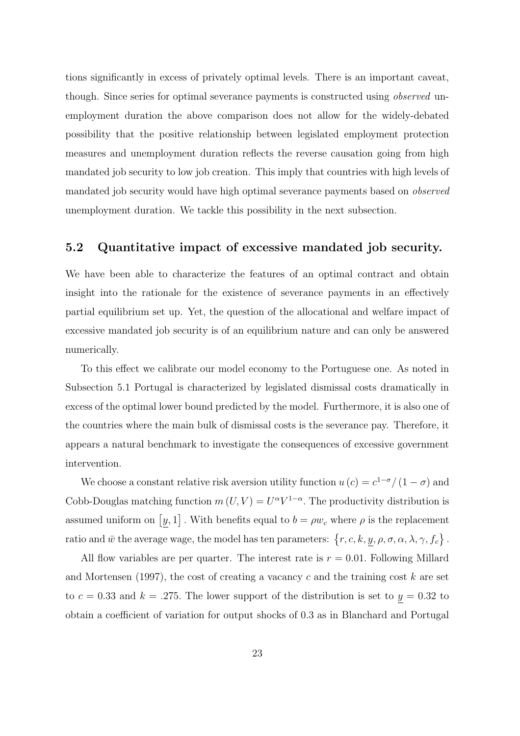tions significantly in excess of privately optimal levels. There is an important caveat, though. Since series for optimal severance payments is constructed using *observed* unemployment duration the above comparison does not allow for the widely-debated possibility that the positive relationship between legislated employment protection measures and unemployment duration reflects the reverse causation going from high mandated job security to low job creation. This imply that countries with high levels of mandated job security would have high optimal severance payments based on observed unemployment duration. We tackle this possibility in the next subsection.

### 5.2 Quantitative impact of excessive mandated job security.

We have been able to characterize the features of an optimal contract and obtain insight into the rationale for the existence of severance payments in an effectively partial equilibrium set up. Yet, the question of the allocational and welfare impact of excessive mandated job security is of an equilibrium nature and can only be answered numerically.

To this effect we calibrate our model economy to the Portuguese one. As noted in Subsection 5.1 Portugal is characterized by legislated dismissal costs dramatically in excess of the optimal lower bound predicted by the model. Furthermore, it is also one of the countries where the main bulk of dismissal costs is the severance pay. Therefore, it appears a natural benchmark to investigate the consequences of excessive government intervention.

We choose a constant relative risk aversion utility function  $u(c) = c^{1-\sigma}/(1-\sigma)$  and Cobb-Douglas matching function  $m(U, V) = U^{\alpha} V^{1-\alpha}$ . The productivity distribution is assumed uniform on  $[y, 1]$ . With benefits equal to  $b = \rho w_c$  where  $\rho$  is the replacement ratio and  $\bar w$  the average wage, the model has ten parameters:  $\{r, c, k, y, \rho, \sigma, \alpha, \lambda, \gamma, f_c\}$  .

All flow variables are per quarter. The interest rate is  $r = 0.01$ . Following Millard and Mortensen (1997), the cost of creating a vacancy c and the training cost  $k$  are set to  $c = 0.33$  and  $k = .275$ . The lower support of the distribution is set to  $y = 0.32$  to obtain a coefficient of variation for output shocks of 0.3 as in Blanchard and Portugal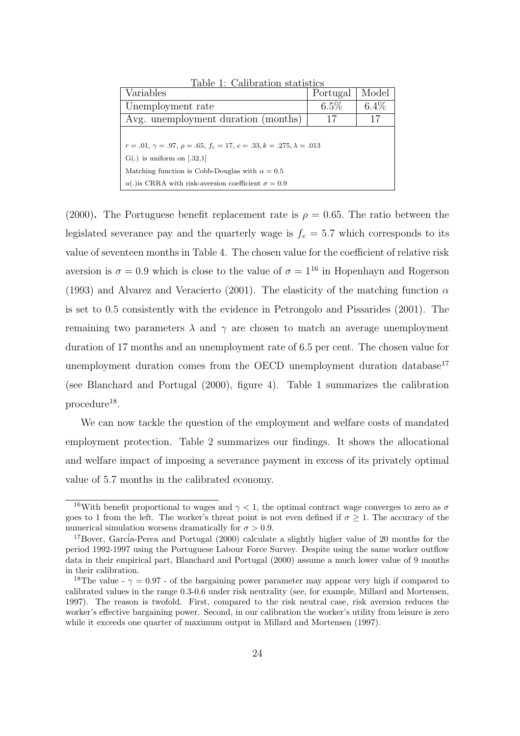| Variables                                                                        | Portugal | Model   |  |  |
|----------------------------------------------------------------------------------|----------|---------|--|--|
| Unemployment rate                                                                | $6.5\%$  | $6.4\%$ |  |  |
| Avg. unemployment duration (months)                                              | 17       | 17      |  |  |
|                                                                                  |          |         |  |  |
| $r = .01, \gamma = .97, \rho = .65, f_c = 17, c = .33, k = .275, \lambda = .013$ |          |         |  |  |
| $G(.)$ is uniform on [.32,1]                                                     |          |         |  |  |
| Matching function is Cobb-Douglas with $\alpha = 0.5$                            |          |         |  |  |
| u(.) is CRRA with risk-aversion coefficient $\sigma = 0.9$                       |          |         |  |  |

Table 1: Calibration statistics

(2000). The Portuguese benefit replacement rate is  $\rho = 0.65$ . The ratio between the legislated severance pay and the quarterly wage is  $f_c = 5.7$  which corresponds to its value of seventeen months in Table 4. The chosen value for the coefficient of relative risk aversion is  $\sigma = 0.9$  which is close to the value of  $\sigma = 1^{16}$  in Hopenhayn and Rogerson (1993) and Alvarez and Veracierto (2001). The elasticity of the matching function  $\alpha$ is set to 0.5 consistently with the evidence in Petrongolo and Pissarides (2001). The remaining two parameters  $\lambda$  and  $\gamma$  are chosen to match an average unemployment duration of 17 months and an unemployment rate of 6.5 per cent. The chosen value for unemployment duration comes from the OECD unemployment duration database<sup>17</sup> (see Blanchard and Portugal (2000), figure 4). Table 1 summarizes the calibration  $procedure<sup>18</sup>$ .

We can now tackle the question of the employment and welfare costs of mandated employment protection. Table 2 summarizes our findings. It shows the allocational and welfare impact of imposing a severance payment in excess of its privately optimal value of 5.7 months in the calibrated economy.

<sup>&</sup>lt;sup>16</sup>With benefit proportional to wages and  $\gamma$  < 1, the optimal contract wage converges to zero as  $\sigma$ goes to 1 from the left. The worker's threat point is not even defined if  $\sigma \geq 1$ . The accuracy of the numerical simulation worsens dramatically for  $\sigma > 0.9$ .

 $17Bover$ , García-Perea and Portugal (2000) calculate a slightly higher value of 20 months for the period 1992-1997 using the Portuguese Labour Force Survey. Despite using the same worker outflow data in their empirical part, Blanchard and Portugal (2000) assume a much lower value of 9 months in their calibration.

<sup>&</sup>lt;sup>18</sup>The value -  $\gamma = 0.97$  - of the bargaining power parameter may appear very high if compared to calibrated values in the range 0.3-0.6 under risk neutrality (see, for example, Millard and Mortensen, 1997). The reason is twofold. First, compared to the risk neutral case, risk aversion reduces the worker's effective bargaining power. Second, in our calibration the worker's utility from leisure is zero while it exceeds one quarter of maximum output in Millard and Mortensen (1997).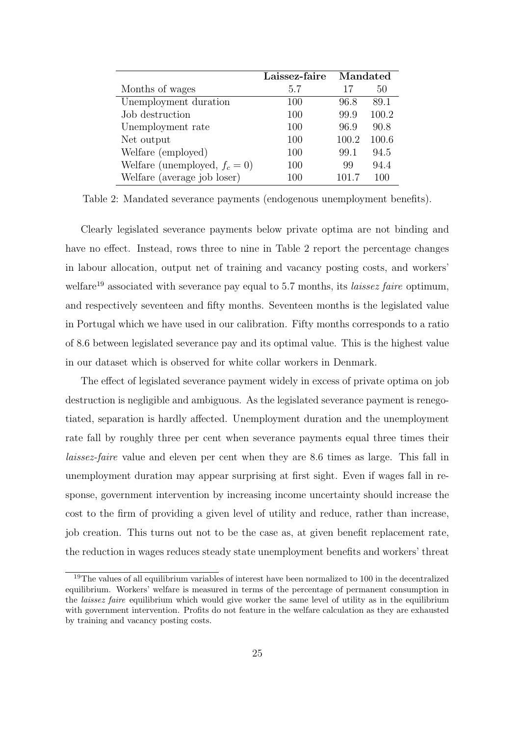|                                  | Laissez-faire<br>Mandated |       |       |
|----------------------------------|---------------------------|-------|-------|
| Months of wages                  | 5.7                       | 17    | 50    |
| Unemployment duration            | 100                       | 96.8  | 89.1  |
| Job destruction                  | 100                       | 99.9  | 100.2 |
| Unemployment rate                | 100                       | 96.9  | 90.8  |
| Net output                       | 100                       | 100.2 | 100.6 |
| Welfare (employed)               | 100                       | 99.1  | 94.5  |
| Welfare (unemployed, $f_c = 0$ ) | 100                       | 99    | 94.4  |
| Welfare (average job loser)      | 100                       | 101.7 | 100   |

Table 2: Mandated severance payments (endogenous unemployment benefits).

Clearly legislated severance payments below private optima are not binding and have no effect. Instead, rows three to nine in Table 2 report the percentage changes in labour allocation, output net of training and vacancy posting costs, and workers' welfare<sup>19</sup> associated with severance pay equal to 5.7 months, its *laissez faire* optimum, and respectively seventeen and fifty months. Seventeen months is the legislated value in Portugal which we have used in our calibration. Fifty months corresponds to a ratio of 8.6 between legislated severance pay and its optimal value. This is the highest value in our dataset which is observed for white collar workers in Denmark.

The effect of legislated severance payment widely in excess of private optima on job destruction is negligible and ambiguous. As the legislated severance payment is renegotiated, separation is hardly affected. Unemployment duration and the unemployment rate fall by roughly three per cent when severance payments equal three times their laissez-faire value and eleven per cent when they are 8.6 times as large. This fall in unemployment duration may appear surprising at first sight. Even if wages fall in response, government intervention by increasing income uncertainty should increase the cost to the firm of providing a given level of utility and reduce, rather than increase, job creation. This turns out not to be the case as, at given benefit replacement rate, the reduction in wages reduces steady state unemployment benefits and workers' threat

<sup>&</sup>lt;sup>19</sup>The values of all equilibrium variables of interest have been normalized to 100 in the decentralized equilibrium. Workers' welfare is measured in terms of the percentage of permanent consumption in the *laissez faire* equilibrium which would give worker the same level of utility as in the equilibrium with government intervention. Profits do not feature in the welfare calculation as they are exhausted by training and vacancy posting costs.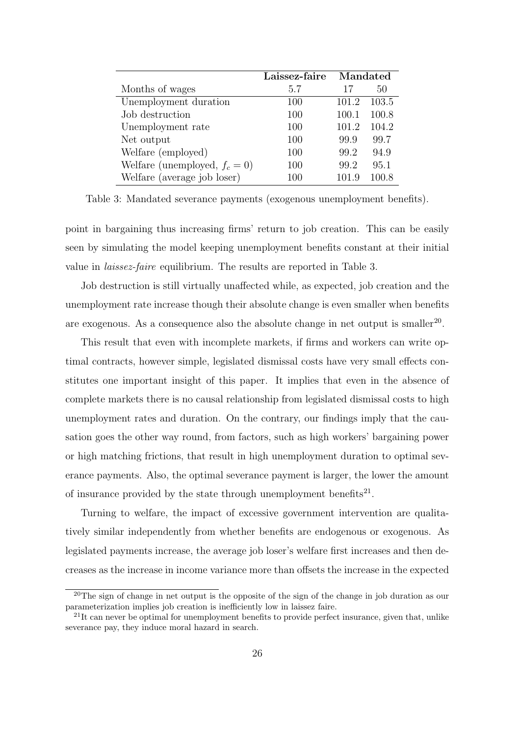|                                  | Laissez-faire | Mandated |       |
|----------------------------------|---------------|----------|-------|
| Months of wages                  | 5.7           | 17       | 50    |
| Unemployment duration            | 100           | 101.2    | 103.5 |
| Job destruction                  | 100           | 100.1    | 100.8 |
| Unemployment rate                | 100           | 101.2    | 104.2 |
| Net output                       | 100           | 99.9     | 99.7  |
| Welfare (employed)               | 100           | 99.2     | 94.9  |
| Welfare (unemployed, $f_c = 0$ ) | 100           | 99.2     | 95.1  |
| Welfare (average job loser)      | 100           | 101.9    | 100.8 |

Table 3: Mandated severance payments (exogenous unemployment benefits).

point in bargaining thus increasing firms' return to job creation. This can be easily seen by simulating the model keeping unemployment benefits constant at their initial value in laissez-faire equilibrium. The results are reported in Table 3.

Job destruction is still virtually unaffected while, as expected, job creation and the unemployment rate increase though their absolute change is even smaller when benefits are exogenous. As a consequence also the absolute change in net output is smaller<sup>20</sup>.

This result that even with incomplete markets, if firms and workers can write optimal contracts, however simple, legislated dismissal costs have very small effects constitutes one important insight of this paper. It implies that even in the absence of complete markets there is no causal relationship from legislated dismissal costs to high unemployment rates and duration. On the contrary, our findings imply that the causation goes the other way round, from factors, such as high workers' bargaining power or high matching frictions, that result in high unemployment duration to optimal severance payments. Also, the optimal severance payment is larger, the lower the amount of insurance provided by the state through unemployment benefits $^{21}$ .

Turning to welfare, the impact of excessive government intervention are qualitatively similar independently from whether benefits are endogenous or exogenous. As legislated payments increase, the average job loser's welfare first increases and then decreases as the increase in income variance more than offsets the increase in the expected

<sup>&</sup>lt;sup>20</sup>The sign of change in net output is the opposite of the sign of the change in job duration as our parameterization implies job creation is inefficiently low in laissez faire.

 $^{21}$ It can never be optimal for unemployment benefits to provide perfect insurance, given that, unlike severance pay, they induce moral hazard in search.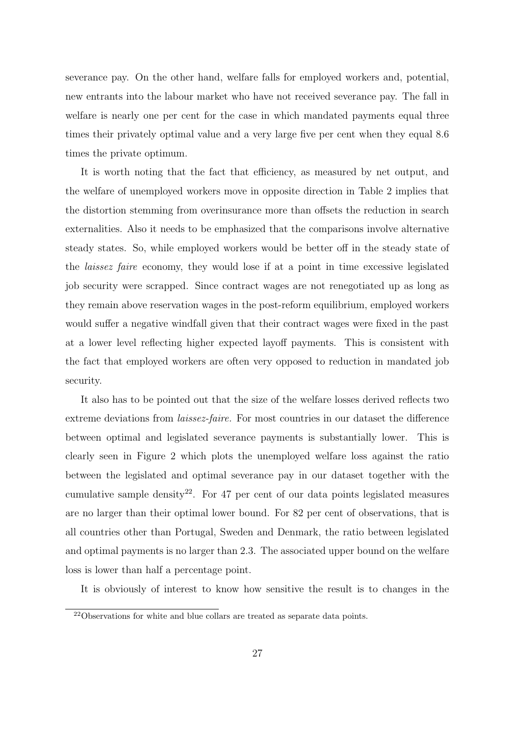severance pay. On the other hand, welfare falls for employed workers and, potential, new entrants into the labour market who have not received severance pay. The fall in welfare is nearly one per cent for the case in which mandated payments equal three times their privately optimal value and a very large five per cent when they equal 8.6 times the private optimum.

It is worth noting that the fact that efficiency, as measured by net output, and the welfare of unemployed workers move in opposite direction in Table 2 implies that the distortion stemming from overinsurance more than offsets the reduction in search externalities. Also it needs to be emphasized that the comparisons involve alternative steady states. So, while employed workers would be better off in the steady state of the laissez faire economy, they would lose if at a point in time excessive legislated job security were scrapped. Since contract wages are not renegotiated up as long as they remain above reservation wages in the post-reform equilibrium, employed workers would suffer a negative windfall given that their contract wages were fixed in the past at a lower level reflecting higher expected layoff payments. This is consistent with the fact that employed workers are often very opposed to reduction in mandated job security.

It also has to be pointed out that the size of the welfare losses derived reflects two extreme deviations from *laissez-faire*. For most countries in our dataset the difference between optimal and legislated severance payments is substantially lower. This is clearly seen in Figure 2 which plots the unemployed welfare loss against the ratio between the legislated and optimal severance pay in our dataset together with the cumulative sample density 22 . For 47 per cent of our data points legislated measures are no larger than their optimal lower bound. For 82 per cent of observations, that is all countries other than Portugal, Sweden and Denmark, the ratio between legislated and optimal payments is no larger than 2.3. The associated upper bound on the welfare loss is lower than half a percentage point.

It is obviously of interest to know how sensitive the result is to changes in the

<sup>22</sup>Observations for white and blue collars are treated as separate data points.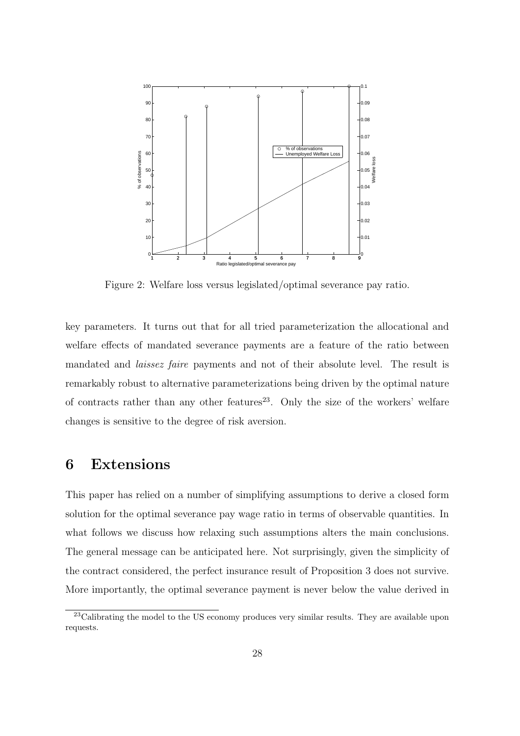

Figure 2: Welfare loss versus legislated/optimal severance pay ratio.

key parameters. It turns out that for all tried parameterization the allocational and welfare effects of mandated severance payments are a feature of the ratio between mandated and laissez faire payments and not of their absolute level. The result is remarkably robust to alternative parameterizations being driven by the optimal nature of contracts rather than any other features<sup>23</sup>. Only the size of the workers' welfare changes is sensitive to the degree of risk aversion.

## 6 Extensions

This paper has relied on a number of simplifying assumptions to derive a closed form solution for the optimal severance pay wage ratio in terms of observable quantities. In what follows we discuss how relaxing such assumptions alters the main conclusions. The general message can be anticipated here. Not surprisingly, given the simplicity of the contract considered, the perfect insurance result of Proposition 3 does not survive. More importantly, the optimal severance payment is never below the value derived in

<sup>&</sup>lt;sup>23</sup>Calibrating the model to the US economy produces very similar results. They are available upon requests.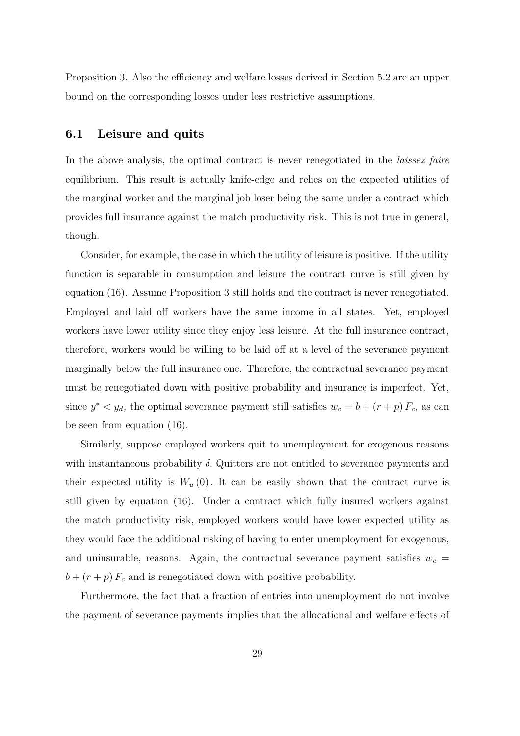Proposition 3. Also the efficiency and welfare losses derived in Section 5.2 are an upper bound on the corresponding losses under less restrictive assumptions.

### 6.1 Leisure and quits

In the above analysis, the optimal contract is never renegotiated in the *laissez faire* equilibrium. This result is actually knife-edge and relies on the expected utilities of the marginal worker and the marginal job loser being the same under a contract which provides full insurance against the match productivity risk. This is not true in general, though.

Consider, for example, the case in which the utility of leisure is positive. If the utility function is separable in consumption and leisure the contract curve is still given by equation (16). Assume Proposition 3 still holds and the contract is never renegotiated. Employed and laid off workers have the same income in all states. Yet, employed workers have lower utility since they enjoy less leisure. At the full insurance contract, therefore, workers would be willing to be laid off at a level of the severance payment marginally below the full insurance one. Therefore, the contractual severance payment must be renegotiated down with positive probability and insurance is imperfect. Yet, since  $y^* < y_d$ , the optimal severance payment still satisfies  $w_c = b + (r + p) F_c$ , as can be seen from equation (16).

Similarly, suppose employed workers quit to unemployment for exogenous reasons with instantaneous probability  $\delta$ . Quitters are not entitled to severance payments and their expected utility is  $W_u(0)$ . It can be easily shown that the contract curve is still given by equation (16). Under a contract which fully insured workers against the match productivity risk, employed workers would have lower expected utility as they would face the additional risking of having to enter unemployment for exogenous, and uninsurable, reasons. Again, the contractual severance payment satisfies  $w_c =$  $b + (r + p) F_c$  and is renegotiated down with positive probability.

Furthermore, the fact that a fraction of entries into unemployment do not involve the payment of severance payments implies that the allocational and welfare effects of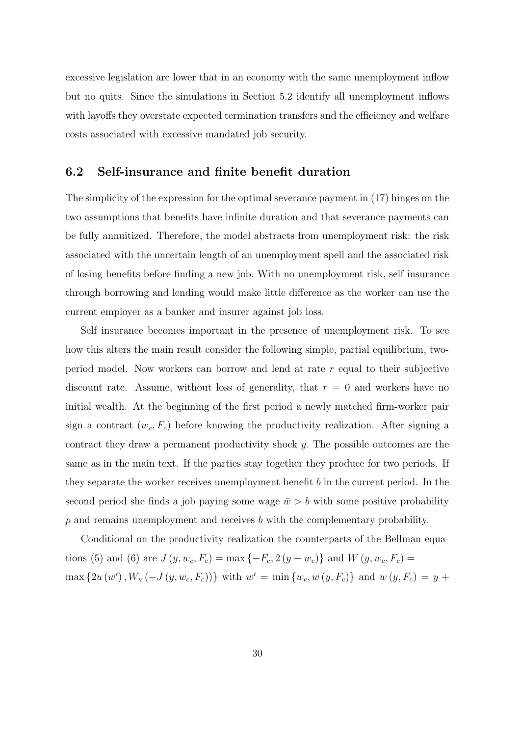excessive legislation are lower that in an economy with the same unemployment inflow but no quits. Since the simulations in Section 5.2 identify all unemployment inflows with layoffs they overstate expected termination transfers and the efficiency and welfare costs associated with excessive mandated job security.

### 6.2 Self-insurance and finite benefit duration

The simplicity of the expression for the optimal severance payment in (17) hinges on the two assumptions that benefits have infinite duration and that severance payments can be fully annuitized. Therefore, the model abstracts from unemployment risk: the risk associated with the uncertain length of an unemployment spell and the associated risk of losing benefits before finding a new job. With no unemployment risk, self insurance through borrowing and lending would make little difference as the worker can use the current employer as a banker and insurer against job loss.

Self insurance becomes important in the presence of unemployment risk. To see how this alters the main result consider the following simple, partial equilibrium, twoperiod model. Now workers can borrow and lend at rate r equal to their subjective discount rate. Assume, without loss of generality, that  $r = 0$  and workers have no initial wealth. At the beginning of the first period a newly matched firm-worker pair sign a contract  $(w_c, F_c)$  before knowing the productivity realization. After signing a contract they draw a permanent productivity shock y. The possible outcomes are the same as in the main text. If the parties stay together they produce for two periods. If they separate the worker receives unemployment benefit b in the current period. In the second period she finds a job paying some wage  $\bar{w} > b$  with some positive probability  $p$  and remains unemployment and receives  $b$  with the complementary probability.

Conditional on the productivity realization the counterparts of the Bellman equations (5) and (6) are  $J(y, w_c, F_c) = \max\{-F_c, 2(y - w_c)\}\$ and  $W(y, w_c, F_c) =$  $\max\{2u(w'), W_u(-J(y, w_c, F_c))\}\$  with  $w' = \min\{w_c, w(y, F_c)\}\$  and  $w(y, F_c) = y +$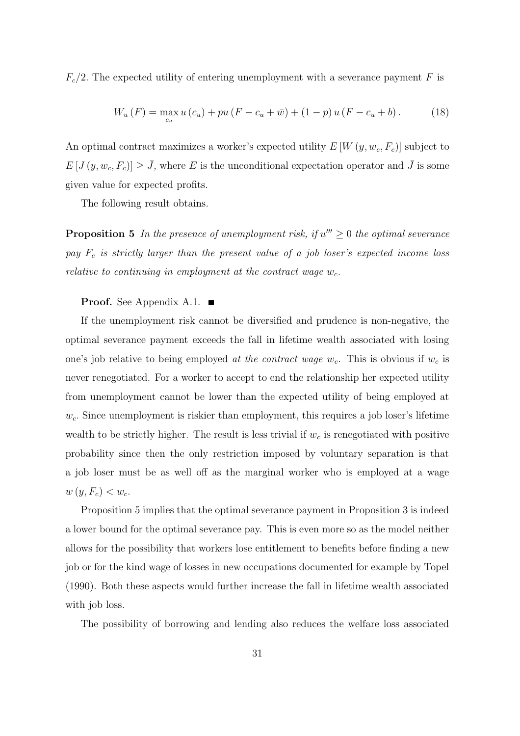$F_c/2$ . The expected utility of entering unemployment with a severance payment F is

$$
W_u(F) = \max_{c_u} u(c_u) + pu(F - c_u + \bar{w}) + (1 - p) u(F - c_u + b).
$$
 (18)

An optimal contract maximizes a worker's expected utility  $E[W(y, w_c, F_c)]$  subject to  $E[J(y, w_c, F_c)] \geq \bar{J}$ , where E is the unconditional expectation operator and  $\bar{J}$  is some given value for expected profits.

The following result obtains.

**Proposition 5** In the presence of unemployment risk, if  $u''' \geq 0$  the optimal severance pay  $F_c$  is strictly larger than the present value of a job loser's expected income loss relative to continuing in employment at the contract wage  $w_c$ .

#### **Proof.** See Appendix A.1.  $\blacksquare$

If the unemployment risk cannot be diversified and prudence is non-negative, the optimal severance payment exceeds the fall in lifetime wealth associated with losing one's job relative to being employed at the contract wage  $w_c$ . This is obvious if  $w_c$  is never renegotiated. For a worker to accept to end the relationship her expected utility from unemployment cannot be lower than the expected utility of being employed at  $w_c$ . Since unemployment is riskier than employment, this requires a job loser's lifetime wealth to be strictly higher. The result is less trivial if  $w_c$  is renegotiated with positive probability since then the only restriction imposed by voluntary separation is that a job loser must be as well off as the marginal worker who is employed at a wage  $w(y, F_c) < w_c$ .

Proposition 5 implies that the optimal severance payment in Proposition 3 is indeed a lower bound for the optimal severance pay. This is even more so as the model neither allows for the possibility that workers lose entitlement to benefits before finding a new job or for the kind wage of losses in new occupations documented for example by Topel (1990). Both these aspects would further increase the fall in lifetime wealth associated with job loss.

The possibility of borrowing and lending also reduces the welfare loss associated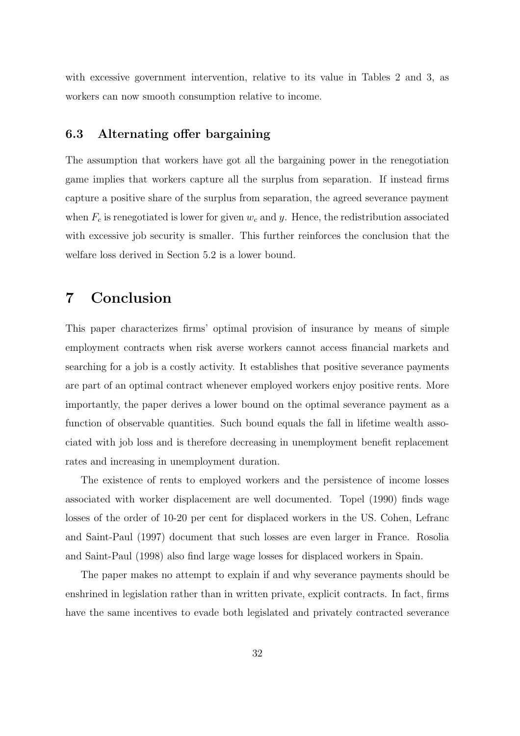with excessive government intervention, relative to its value in Tables 2 and 3, as workers can now smooth consumption relative to income.

### 6.3 Alternating offer bargaining

The assumption that workers have got all the bargaining power in the renegotiation game implies that workers capture all the surplus from separation. If instead firms capture a positive share of the surplus from separation, the agreed severance payment when  $F_c$  is renegotiated is lower for given  $w_c$  and y. Hence, the redistribution associated with excessive job security is smaller. This further reinforces the conclusion that the welfare loss derived in Section 5.2 is a lower bound.

## 7 Conclusion

This paper characterizes firms' optimal provision of insurance by means of simple employment contracts when risk averse workers cannot access financial markets and searching for a job is a costly activity. It establishes that positive severance payments are part of an optimal contract whenever employed workers enjoy positive rents. More importantly, the paper derives a lower bound on the optimal severance payment as a function of observable quantities. Such bound equals the fall in lifetime wealth associated with job loss and is therefore decreasing in unemployment benefit replacement rates and increasing in unemployment duration.

The existence of rents to employed workers and the persistence of income losses associated with worker displacement are well documented. Topel (1990) finds wage losses of the order of 10-20 per cent for displaced workers in the US. Cohen, Lefranc and Saint-Paul (1997) document that such losses are even larger in France. Rosolia and Saint-Paul (1998) also find large wage losses for displaced workers in Spain.

The paper makes no attempt to explain if and why severance payments should be enshrined in legislation rather than in written private, explicit contracts. In fact, firms have the same incentives to evade both legislated and privately contracted severance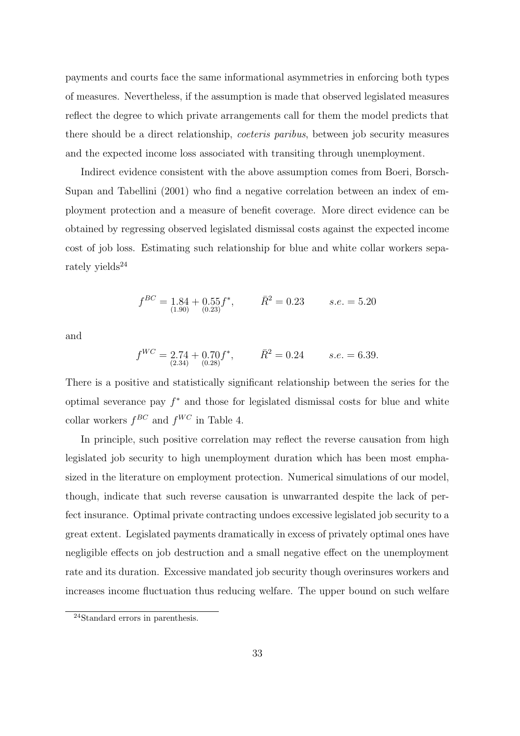payments and courts face the same informational asymmetries in enforcing both types of measures. Nevertheless, if the assumption is made that observed legislated measures reflect the degree to which private arrangements call for them the model predicts that there should be a direct relationship, *coeteris paribus*, between job security measures and the expected income loss associated with transiting through unemployment.

Indirect evidence consistent with the above assumption comes from Boeri, Borsch-Supan and Tabellini (2001) who find a negative correlation between an index of employment protection and a measure of benefit coverage. More direct evidence can be obtained by regressing observed legislated dismissal costs against the expected income cost of job loss. Estimating such relationship for blue and white collar workers separately yields $^{24}$ 

$$
f^{BC} = 1.84 + 0.55 f^*, \qquad \bar{R}^2 = 0.23 \qquad s.e. = 5.20
$$

and

$$
f^{WC} = 2.74 + 0.70f^*, \qquad \bar{R}^2 = 0.24 \qquad s.e. = 6.39.
$$

There is a positive and statistically significant relationship between the series for the optimal severance pay  $f^*$  and those for legislated dismissal costs for blue and white collar workers  $f^{BC}$  and  $f^{WC}$  in Table 4.

In principle, such positive correlation may reflect the reverse causation from high legislated job security to high unemployment duration which has been most emphasized in the literature on employment protection. Numerical simulations of our model, though, indicate that such reverse causation is unwarranted despite the lack of perfect insurance. Optimal private contracting undoes excessive legislated job security to a great extent. Legislated payments dramatically in excess of privately optimal ones have negligible effects on job destruction and a small negative effect on the unemployment rate and its duration. Excessive mandated job security though overinsures workers and increases income fluctuation thus reducing welfare. The upper bound on such welfare

<sup>24</sup>Standard errors in parenthesis.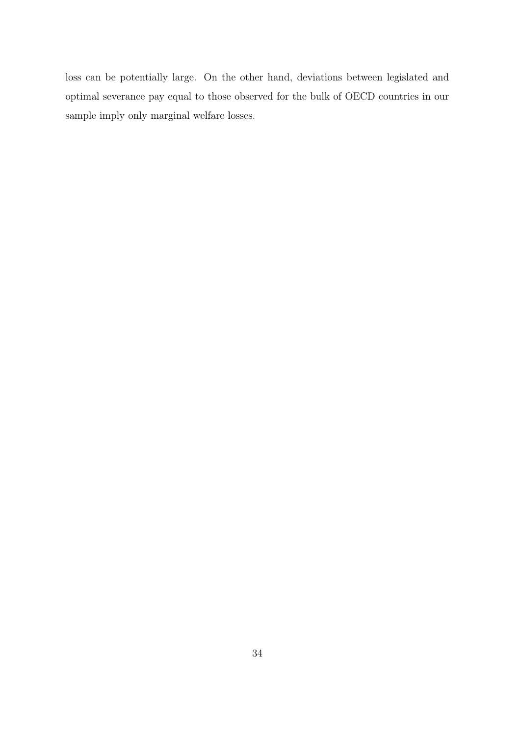loss can be potentially large. On the other hand, deviations between legislated and optimal severance pay equal to those observed for the bulk of OECD countries in our sample imply only marginal welfare losses.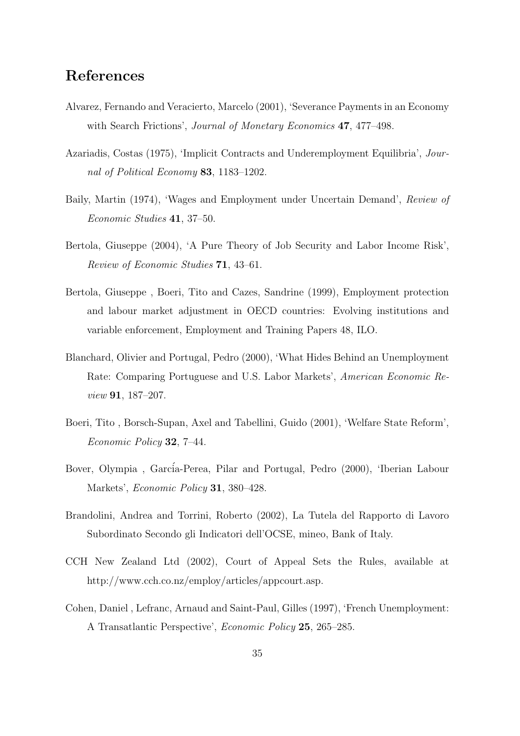## References

- Alvarez, Fernando and Veracierto, Marcelo (2001), 'Severance Payments in an Economy with Search Frictions', *Journal of Monetary Economics* **47**, 477–498.
- Azariadis, Costas (1975), 'Implicit Contracts and Underemployment Equilibria', Journal of Political Economy 83, 1183–1202.
- Baily, Martin (1974), 'Wages and Employment under Uncertain Demand', Review of Economic Studies 41, 37–50.
- Bertola, Giuseppe (2004), 'A Pure Theory of Job Security and Labor Income Risk', Review of Economic Studies 71, 43–61.
- Bertola, Giuseppe , Boeri, Tito and Cazes, Sandrine (1999), Employment protection and labour market adjustment in OECD countries: Evolving institutions and variable enforcement, Employment and Training Papers 48, ILO.
- Blanchard, Olivier and Portugal, Pedro (2000), 'What Hides Behind an Unemployment Rate: Comparing Portuguese and U.S. Labor Markets', American Economic Review 91, 187–207.
- Boeri, Tito , Borsch-Supan, Axel and Tabellini, Guido (2001), 'Welfare State Reform', Economic Policy 32, 7–44.
- Bover, Olympia, García-Perea, Pilar and Portugal, Pedro (2000), 'Iberian Labour Markets', *Economic Policy* **31**, 380–428.
- Brandolini, Andrea and Torrini, Roberto (2002), La Tutela del Rapporto di Lavoro Subordinato Secondo gli Indicatori dell'OCSE, mineo, Bank of Italy.
- CCH New Zealand Ltd (2002), Court of Appeal Sets the Rules, available at http://www.cch.co.nz/employ/articles/appcourt.asp.
- Cohen, Daniel , Lefranc, Arnaud and Saint-Paul, Gilles (1997), 'French Unemployment: A Transatlantic Perspective', Economic Policy 25, 265–285.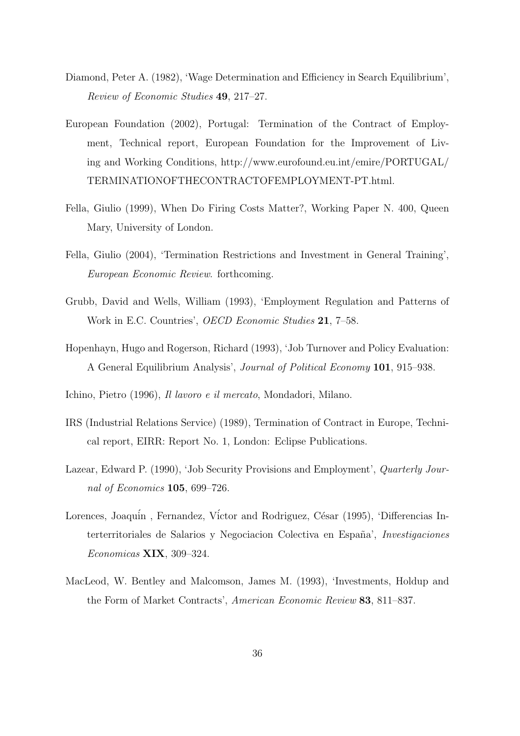- Diamond, Peter A. (1982), 'Wage Determination and Efficiency in Search Equilibrium', Review of Economic Studies 49, 217–27.
- European Foundation (2002), Portugal: Termination of the Contract of Employment, Technical report, European Foundation for the Improvement of Living and Working Conditions, http://www.eurofound.eu.int/emire/PORTUGAL/ TERMINATIONOFTHECONTRACTOFEMPLOYMENT-PT.html.
- Fella, Giulio (1999), When Do Firing Costs Matter?, Working Paper N. 400, Queen Mary, University of London.
- Fella, Giulio (2004), 'Termination Restrictions and Investment in General Training', European Economic Review. forthcoming.
- Grubb, David and Wells, William (1993), 'Employment Regulation and Patterns of Work in E.C. Countries', OECD Economic Studies 21, 7–58.
- Hopenhayn, Hugo and Rogerson, Richard (1993), 'Job Turnover and Policy Evaluation: A General Equilibrium Analysis', Journal of Political Economy 101, 915–938.
- Ichino, Pietro (1996), Il lavoro e il mercato, Mondadori, Milano.
- IRS (Industrial Relations Service) (1989), Termination of Contract in Europe, Technical report, EIRR: Report No. 1, London: Eclipse Publications.
- Lazear, Edward P. (1990), 'Job Security Provisions and Employment', Quarterly Journal of Economics 105, 699–726.
- Lorences, Joaquín, Fernandez, Víctor and Rodriguez, César (1995), 'Differencias Interterritoriales de Salarios y Negociacion Colectiva en España', *Investigaciones* Economicas XIX, 309–324.
- MacLeod, W. Bentley and Malcomson, James M. (1993), 'Investments, Holdup and the Form of Market Contracts', American Economic Review 83, 811–837.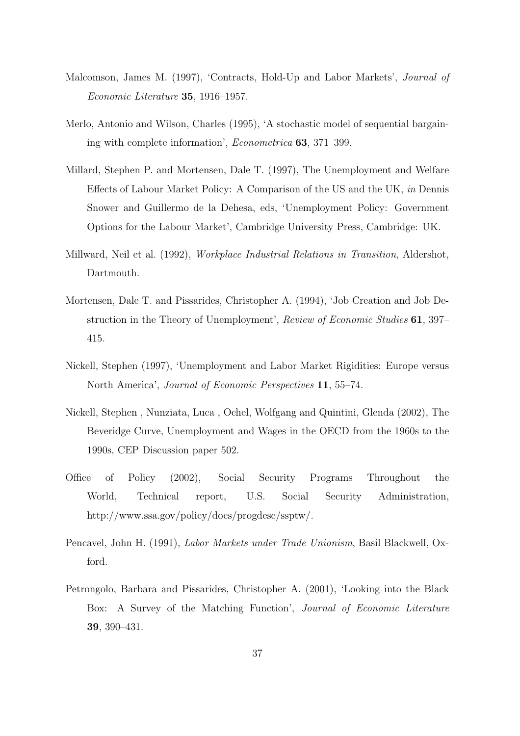- Malcomson, James M. (1997), 'Contracts, Hold-Up and Labor Markets', Journal of Economic Literature 35, 1916–1957.
- Merlo, Antonio and Wilson, Charles (1995), 'A stochastic model of sequential bargaining with complete information', Econometrica 63, 371–399.
- Millard, Stephen P. and Mortensen, Dale T. (1997), The Unemployment and Welfare Effects of Labour Market Policy: A Comparison of the US and the UK, in Dennis Snower and Guillermo de la Dehesa, eds, 'Unemployment Policy: Government Options for the Labour Market', Cambridge University Press, Cambridge: UK.
- Millward, Neil et al. (1992), *Workplace Industrial Relations in Transition*, Aldershot, Dartmouth.
- Mortensen, Dale T. and Pissarides, Christopher A. (1994), 'Job Creation and Job Destruction in the Theory of Unemployment', Review of Economic Studies 61, 397– 415.
- Nickell, Stephen (1997), 'Unemployment and Labor Market Rigidities: Europe versus North America', Journal of Economic Perspectives 11, 55–74.
- Nickell, Stephen , Nunziata, Luca , Ochel, Wolfgang and Quintini, Glenda (2002), The Beveridge Curve, Unemployment and Wages in the OECD from the 1960s to the 1990s, CEP Discussion paper 502.
- Office of Policy (2002), Social Security Programs Throughout the World, Technical report, U.S. Social Security Administration, http://www.ssa.gov/policy/docs/progdesc/ssptw/.
- Pencavel, John H. (1991), Labor Markets under Trade Unionism, Basil Blackwell, Oxford.
- Petrongolo, Barbara and Pissarides, Christopher A. (2001), 'Looking into the Black Box: A Survey of the Matching Function', Journal of Economic Literature 39, 390–431.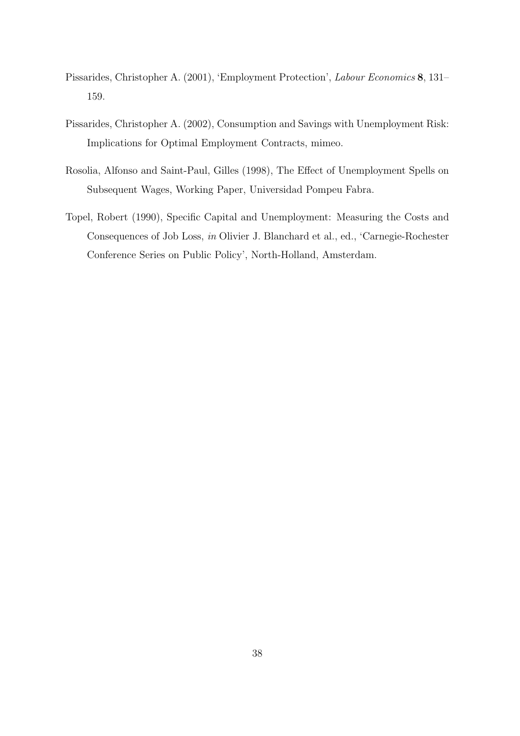- Pissarides, Christopher A. (2001), 'Employment Protection', Labour Economics 8, 131– 159.
- Pissarides, Christopher A. (2002), Consumption and Savings with Unemployment Risk: Implications for Optimal Employment Contracts, mimeo.
- Rosolia, Alfonso and Saint-Paul, Gilles (1998), The Effect of Unemployment Spells on Subsequent Wages, Working Paper, Universidad Pompeu Fabra.
- Topel, Robert (1990), Specific Capital and Unemployment: Measuring the Costs and Consequences of Job Loss, in Olivier J. Blanchard et al., ed., 'Carnegie-Rochester Conference Series on Public Policy', North-Holland, Amsterdam.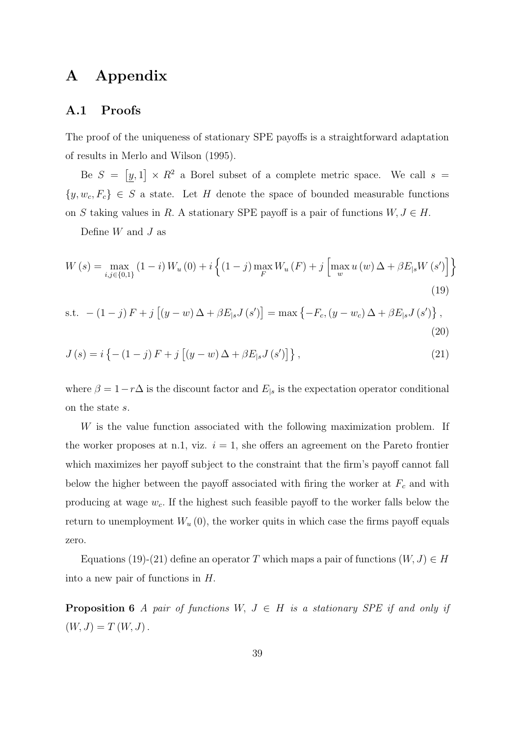## A Appendix

### A.1 Proofs

The proof of the uniqueness of stationary SPE payoffs is a straightforward adaptation of results in Merlo and Wilson (1995).

Be  $S = [y, 1] \times R^2$  a Borel subset of a complete metric space. We call  $s =$  $\{y, w_c, F_c\} \in S$  a state. Let H denote the space of bounded measurable functions on S taking values in R. A stationary SPE payoff is a pair of functions  $W, J \in H$ .

Define  $W$  and  $J$  as

$$
W(s) = \max_{i,j \in \{0,1\}} (1-i) W_u(0) + i \left\{ (1-j) \max_{F} W_u(F) + j \left[ \max_{w} u(w) \Delta + \beta E_{|s} W(s') \right] \right\}
$$
(19)

s.t. 
$$
-(1-j) F + j [(y-w) \Delta + \beta E_{|s} J(s')] = \max \{-F_c, (y-w_c) \Delta + \beta E_{|s} J(s')\},
$$
 (20)

$$
J(s) = i \left\{ - (1 - j) F + j \left[ (y - w) \Delta + \beta E_{|s} J(s') \right] \right\},\tag{21}
$$

where  $\beta = 1 - r\Delta$  is the discount factor and  $E_{|s}$  is the expectation operator conditional on the state s.

W is the value function associated with the following maximization problem. If the worker proposes at n.1, viz.  $i = 1$ , she offers an agreement on the Pareto frontier which maximizes her payoff subject to the constraint that the firm's payoff cannot fall below the higher between the payoff associated with firing the worker at  $F_c$  and with producing at wage  $w_c$ . If the highest such feasible payoff to the worker falls below the return to unemployment  $W_u(0)$ , the worker quits in which case the firms payoff equals zero.

Equations (19)-(21) define an operator T which maps a pair of functions  $(W, J) \in H$ into a new pair of functions in H.

**Proposition 6** A pair of functions W,  $J \in H$  is a stationary SPE if and only if  $(W, J) = T (W, J).$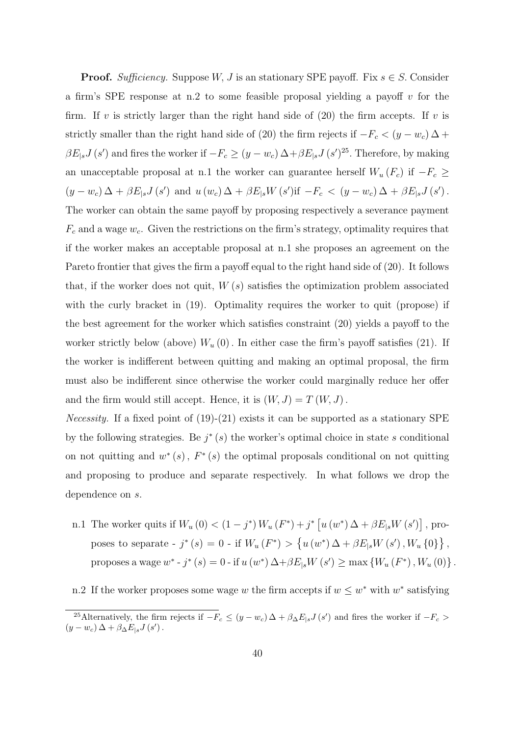**Proof.** Sufficiency. Suppose W, J is an stationary SPE payoff. Fix  $s \in S$ . Consider a firm's SPE response at n.2 to some feasible proposal yielding a payoff  $v$  for the firm. If v is strictly larger than the right hand side of  $(20)$  the firm accepts. If v is strictly smaller than the right hand side of (20) the firm rejects if  $-F_c < (y - w_c) \Delta +$  $\beta E_{|s}J(s')$  and fires the worker if  $-F_c \ge (y - w_c) \Delta + \beta E_{|s}J(s')^{25}$ . Therefore, by making an unacceptable proposal at n.1 the worker can guarantee herself  $W_u \left( F_c \right)$  if  $-F_c \ge$  $(y - w_c)\Delta + \beta E_{|s}J(s')$  and  $u(w_c)\Delta + \beta E_{|s}W(s')$  if  $-F_c < (y - w_c)\Delta + \beta E_{|s}J(s')$ . The worker can obtain the same payoff by proposing respectively a severance payment  $F_c$  and a wage  $w_c$ . Given the restrictions on the firm's strategy, optimality requires that if the worker makes an acceptable proposal at n.1 she proposes an agreement on the Pareto frontier that gives the firm a payoff equal to the right hand side of (20). It follows that, if the worker does not quit,  $W(s)$  satisfies the optimization problem associated with the curly bracket in (19). Optimality requires the worker to quit (propose) if the best agreement for the worker which satisfies constraint (20) yields a payoff to the worker strictly below (above)  $W_u(0)$ . In either case the firm's payoff satisfies (21). If the worker is indifferent between quitting and making an optimal proposal, the firm must also be indifferent since otherwise the worker could marginally reduce her offer and the firm would still accept. Hence, it is  $(W, J) = T(W, J)$ .

*Necessity.* If a fixed point of  $(19)-(21)$  exists it can be supported as a stationary SPE by the following strategies. Be  $j^*(s)$  the worker's optimal choice in state s conditional on not quitting and  $w^*(s)$ ,  $F^*(s)$  the optimal proposals conditional on not quitting and proposing to produce and separate respectively. In what follows we drop the dependence on s.

- n.1 The worker quits if  $W_u(0) < (1 j^*) W_u(F^*) + j^* [u(w^*) \Delta + \beta E_{|s} W(s')]$ , proposes to separate -  $j^*(s) = 0$  - if  $W_u(F^*) > \{u(w^*) \Delta + \beta E_{|s} W(s'), W_u \{0\}\}\,$ , proposes a wage  $w^*$  -  $j^*$   $(s) = 0$  - if  $u(w^*) \Delta + \beta E_{|s} W(s') \ge \max \{W_u(F^*)$ ,  $W_u(0)\}$ .
- n.2 If the worker proposes some wage w the firm accepts if  $w \leq w^*$  with  $w^*$  satisfying

<sup>&</sup>lt;sup>25</sup>Alternatively, the firm rejects if  $-F_c \leq (y - w_c) \Delta + \beta_{\Delta} E_{|s} J(s')$  and fires the worker if  $-F_c >$  $(y - w_c) \Delta + \beta_{\Delta} E_{|s} J(s')$ .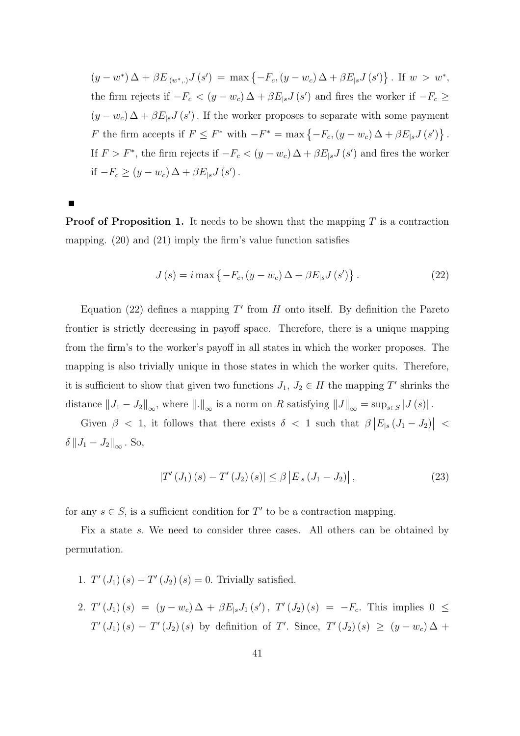$(y - w^*) \Delta + \beta E_{|(w^*,.)} J(s') = \max \{-F_c, (y - w_c) \Delta + \beta E_{|s} J(s')\}$ . If  $w > w^*$ , the firm rejects if  $-F_c < (y - w_c) \Delta + \beta E_{|s} J(s')$  and fires the worker if  $-F_c \ge$  $(y - w_c) \Delta + \beta E_{|s} J(s')$ . If the worker proposes to separate with some payment F the firm accepts if  $F \leq F^*$  with  $-F^* = \max\{-F_c, (y - w_c)\Delta + \beta E_{|s}J(s')\}$ . If  $F > F^*$ , the firm rejects if  $-F_c < (y - w_c) \Delta + \beta E_{|s} J(s')$  and fires the worker if  $-F_c \ge (y - w_c) \Delta + \beta E_{|s} J(s')$ .

**Proof of Proposition 1.** It needs to be shown that the mapping  $T$  is a contraction mapping. (20) and (21) imply the firm's value function satisfies

$$
J(s) = i \max \left\{ -F_c, (y - w_c) \Delta + \beta E_{|s} J(s') \right\}.
$$
 (22)

Equation (22) defines a mapping  $T'$  from  $H$  onto itself. By definition the Pareto frontier is strictly decreasing in payoff space. Therefore, there is a unique mapping from the firm's to the worker's payoff in all states in which the worker proposes. The mapping is also trivially unique in those states in which the worker quits. Therefore, it is sufficient to show that given two functions  $J_1, J_2 \in H$  the mapping T' shrinks the distance  $||J_1 - J_2||_{\infty}$ , where  $||.||_{\infty}$  is a norm on R satisfying  $||J||_{\infty} = \sup_{s \in S} |J(s)|$ .

Given  $\beta$  < 1, it follows that there exists  $\delta$  < 1 such that  $\beta |E_{|s} (J_1 - J_2)|$  <  $\delta ||J_1 - J_2||_{\infty}$ . So,

$$
|T'(J_1)(s) - T'(J_2)(s)| \leq \beta |E_{|s}(J_1 - J_2)|,
$$
\n(23)

for any  $s \in S$ , is a sufficient condition for T' to be a contraction mapping.

Fix a state s. We need to consider three cases. All others can be obtained by permutation.

- 1.  $T'(J_1)(s) T'(J_2)(s) = 0$ . Trivially satisfied.
- 2.  $T'(J_1)(s) = (y w_c)\Delta + \beta E_{|s}J_1(s')$ ,  $T'(J_2)(s) = -F_c$ . This implies  $0 \le$  $T'(J_1)(s) - T'(J_2)(s)$  by definition of T'. Since,  $T'(J_2)(s) \ge (y - w_c)\Delta +$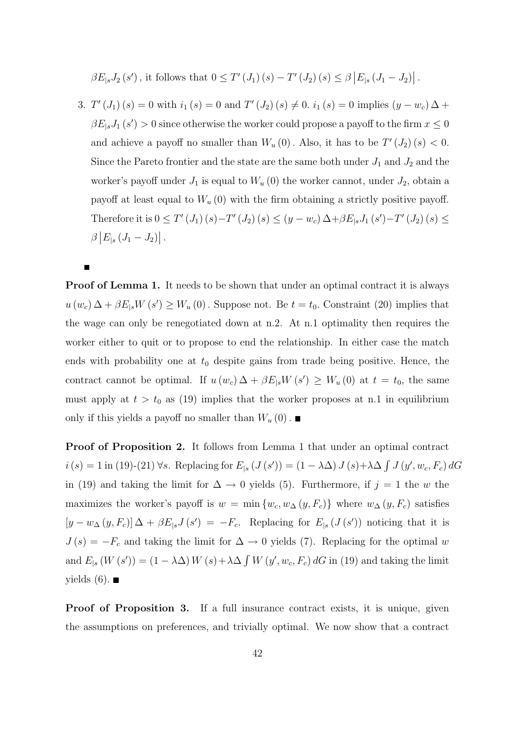$\beta E_{|s}J_2(s')$ , it follows that  $0 \le T'(J_1)(s) - T'(J_2)(s) \le \beta |E_{|s}(J_1-J_2)|$ .

3.  $T'(J_1)(s) = 0$  with  $i_1(s) = 0$  and  $T'(J_2)(s) \neq 0$ .  $i_1(s) = 0$  implies  $(y - w_c) \Delta +$  $\beta E_{|s}J_1(s') > 0$  since otherwise the worker could propose a payoff to the firm  $x \leq 0$ and achieve a payoff no smaller than  $W_u(0)$ . Also, it has to be  $T'(J_2)(s) < 0$ . Since the Pareto frontier and the state are the same both under  $J_1$  and  $J_2$  and the worker's payoff under  $J_1$  is equal to  $W_u(0)$  the worker cannot, under  $J_2$ , obtain a payoff at least equal to  $W_u(0)$  with the firm obtaining a strictly positive payoff. Therefore it is  $0 \le T'(J_1)(s) - T'(J_2)(s) \le (y - w_c)\Delta + \beta E_{|s}J_1(s') - T'(J_2)(s) \le$  $\beta |E_{|s} (J_1 - J_2)|.$ 

**Proof of Lemma 1.** It needs to be shown that under an optimal contract it is always  $u(w_c)\Delta + \beta E_{|s}W(s') \geq W_u(0)$ . Suppose not. Be  $t = t_0$ . Constraint (20) implies that the wage can only be renegotiated down at n.2. At n.1 optimality then requires the worker either to quit or to propose to end the relationship. In either case the match ends with probability one at  $t_0$  despite gains from trade being positive. Hence, the contract cannot be optimal. If  $u(w_c) \Delta + \beta E_{|s} W(s') \geq W_u(0)$  at  $t = t_0$ , the same must apply at  $t > t_0$  as (19) implies that the worker proposes at n.1 in equilibrium only if this yields a payoff no smaller than  $W_u(0)$ .

Proof of Proposition 2. It follows from Lemma 1 that under an optimal contract  $i(s) = 1$  in (19)-(21)  $\forall s$ . Replacing for  $E_{|s}(J(s')) = (1 - \lambda \Delta) J(s) + \lambda \Delta \int J(y', w_c, F_c) dG$ in (19) and taking the limit for  $\Delta \to 0$  yields (5). Furthermore, if  $j = 1$  the w the maximizes the worker's payoff is  $w = \min \{w_c, w_{\Delta}(y, F_c)\}\$  where  $w_{\Delta}(y, F_c)$  satisfies  $[y - w_{\Delta}(y, F_c)] \Delta + \beta E_{|s} J(s') = -F_c$ . Replacing for  $E_{|s}(J(s'))$  noticing that it is  $J(s) = -F_c$  and taking the limit for  $\Delta \rightarrow 0$  yields (7). Replacing for the optimal w and  $E_{|s}(W(s')) = (1 - \lambda \Delta) W(s) + \lambda \Delta \int W(y', w_c, F_c) dG$  in (19) and taking the limit yields  $(6)$ .

Proof of Proposition 3. If a full insurance contract exists, it is unique, given the assumptions on preferences, and trivially optimal. We now show that a contract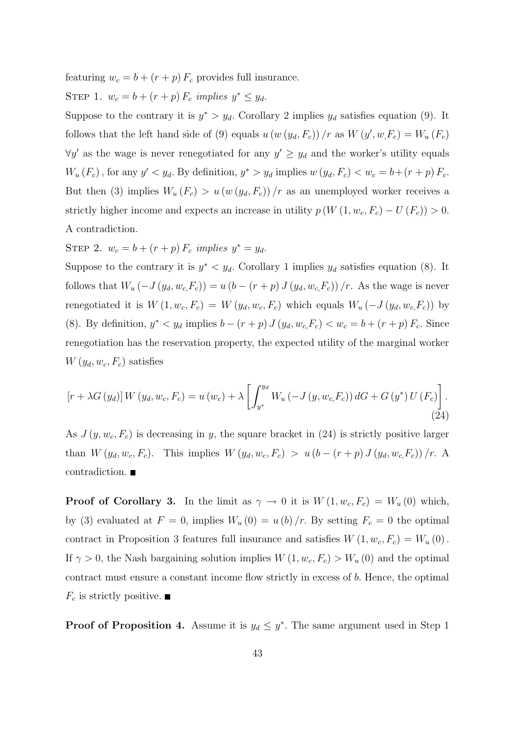featuring  $w_c = b + (r + p) F_c$  provides full insurance.

STEP 1.  $w_c = b + (r + p) F_c$  implies  $y^* \leq y_d$ .

Suppose to the contrary it is  $y^* > y_d$ . Corollary 2 implies  $y_d$  satisfies equation (9). It follows that the left hand side of (9) equals  $u(w(y_d, F_c)) / r$  as  $W(y', w, F_c) = W_u(F_c)$  $\forall y'$  as the wage is never renegotiated for any  $y' \geq y_d$  and the worker's utility equals  $W_u(F_c)$ , for any  $y' < y_d$ . By definition,  $y^* > y_d$  implies  $w(y_d, F_c) < w_c = b + (r + p) F_c$ . But then (3) implies  $W_u(F_c) > u (w (y_d, F_c)) / r$  as an unemployed worker receives a strictly higher income and expects an increase in utility  $p(W(1, w_c, F_c) - U(F_c)) > 0$ . A contradiction.

STEP 2.  $w_c = b + (r + p) F_c$  implies  $y^* = y_d$ .

Suppose to the contrary it is  $y^* < y_d$ . Corollary 1 implies  $y_d$  satisfies equation (8). It follows that  $W_u(-J(y_d, w_c, F_c)) = u (b - (r + p) J(y_d, w_c, F_c)) / r$ . As the wage is never renegotiated it is  $W(1, w_c, F_c) = W(y_d, w_c, F_c)$  which equals  $W_u(-J(y_d, w_c, F_c))$  by (8). By definition,  $y^* < y_d$  implies  $b - (r + p) J (y_d, w_c, F_c) < w_c = b + (r + p) F_c$ . Since renegotiation has the reservation property, the expected utility of the marginal worker  $W(y_d, w_c, F_c)$  satisfies

$$
[r + \lambda G(y_d)] W (y_d, w_c, F_c) = u (w_c) + \lambda \left[ \int_{y^*}^{y_d} W_u (-J(y, w_c, F_c)) dG + G (y^*) U (F_c) \right].
$$
\n(24)

As  $J(y, w_c, F_c)$  is decreasing in y, the square bracket in (24) is strictly positive larger than  $W(y_d, w_c, F_c)$ . This implies  $W(y_d, w_c, F_c) > u (b - (r + p) J (y_d, w_c, F_c)) / r$ . A contradiction.

**Proof of Corollary 3.** In the limit as  $\gamma \to 0$  it is  $W(1, w_c, F_c) = W_u(0)$  which, by (3) evaluated at  $F = 0$ , implies  $W_u(0) = u(b)/r$ . By setting  $F_c = 0$  the optimal contract in Proposition 3 features full insurance and satisfies  $W(1, w_c, F_c) = W_u(0)$ . If  $\gamma > 0$ , the Nash bargaining solution implies  $W(1, w_c, F_c) > W_u(0)$  and the optimal contract must ensure a constant income flow strictly in excess of b. Hence, the optimal  $F_c$  is strictly positive.

**Proof of Proposition 4.** Assume it is  $y_d \leq y^*$ . The same argument used in Step 1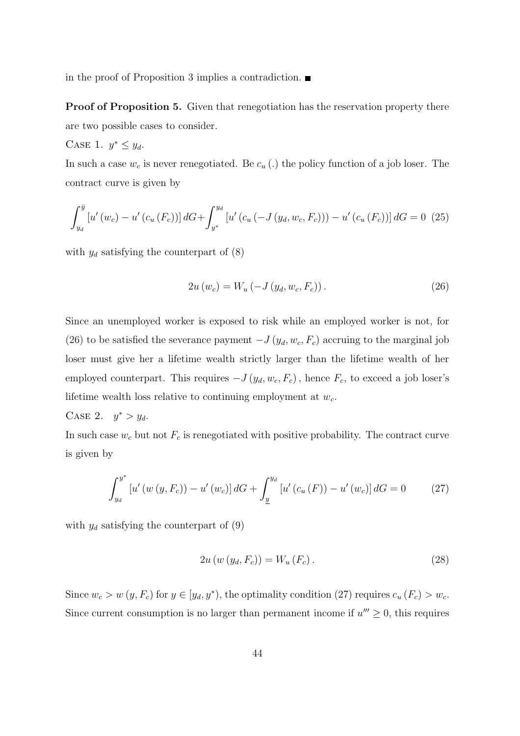in the proof of Proposition 3 implies a contradiction.

Proof of Proposition 5. Given that renegotiation has the reservation property there are two possible cases to consider.

CASE 1. 
$$
y^* \leq y_d
$$
.

In such a case  $w_c$  is never renegotiated. Be  $c_u$  (.) the policy function of a job loser. The contract curve is given by

$$
\int_{y_d}^{\bar{y}} \left[ u'(w_c) - u'(c_u(F_c)) \right] dG + \int_{y^*}^{y_d} \left[ u'(c_u(-J(y_d, w_c, F_c))) - u'(c_u(F_c)) \right] dG = 0 \tag{25}
$$

with  $y_d$  satisfying the counterpart of  $(8)$ 

$$
2u(w_c) = W_u(-J(y_d, w_c, F_c)).
$$
\n(26)

Since an unemployed worker is exposed to risk while an employed worker is not, for (26) to be satisfied the severance payment  $-J(y_d, w_c, F_c)$  accruing to the marginal job loser must give her a lifetime wealth strictly larger than the lifetime wealth of her employed counterpart. This requires  $-J(y_d, w_c, F_c)$ , hence  $F_c$ , to exceed a job loser's lifetime wealth loss relative to continuing employment at  $w_c$ .

CASE 2.  $y^* > y_d$ .

In such case  $w_c$  but not  $F_c$  is renegotiated with positive probability. The contract curve is given by

$$
\int_{y_d}^{y^*} \left[ u'(w(y, F_c)) - u'(w_c) \right] dG + \int_{\underline{y}}^{y_d} \left[ u'(c_u(F)) - u'(w_c) \right] dG = 0 \tag{27}
$$

with  $y_d$  satisfying the counterpart of  $(9)$ 

$$
2u(w(y_d, F_c)) = W_u(F_c).
$$
 (28)

Since  $w_c > w(y, F_c)$  for  $y \in [y_d, y^*)$ , the optimality condition (27) requires  $c_u(F_c) > w_c$ . Since current consumption is no larger than permanent income if  $u''' \geq 0$ , this requires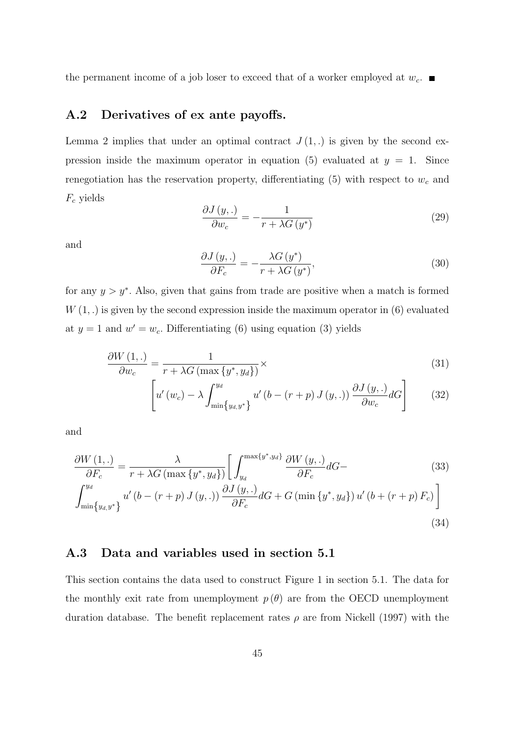the permanent income of a job loser to exceed that of a worker employed at  $w_c$ .

### A.2 Derivatives of ex ante payoffs.

Lemma 2 implies that under an optimal contract  $J(1,.)$  is given by the second expression inside the maximum operator in equation (5) evaluated at  $y = 1$ . Since renegotiation has the reservation property, differentiating  $(5)$  with respect to  $w_c$  and  $F_c$  yields

$$
\frac{\partial J(y,.)}{\partial w_c} = -\frac{1}{r + \lambda G\left(y^*\right)}\tag{29}
$$

and

$$
\frac{\partial J(y,.)}{\partial F_c} = -\frac{\lambda G(y^*)}{r + \lambda G(y^*)},\tag{30}
$$

(34)

for any  $y > y^*$ . Also, given that gains from trade are positive when a match is formed  $W(1, .)$  is given by the second expression inside the maximum operator in  $(6)$  evaluated at  $y = 1$  and  $w' = w_c$ . Differentiating (6) using equation (3) yields

$$
\frac{\partial W\left(1,\right)}{\partial w_c} = \frac{1}{r + \lambda G\left(\max\left\{y^*, y_d\right\}\right)} \times \tag{31}
$$

$$
\left[ u'(w_c) - \lambda \int_{\min\{y_{d,}y^*\}}^{y_d} u'(b - (r+p) J(y,.)) \frac{\partial J(y,.)}{\partial w_c} dG \right]
$$
(32)

and

$$
\frac{\partial W\left(1,\right)}{\partial F_c} = \frac{\lambda}{r + \lambda G\left(\max\left\{y^*, y_d\right\}\right)} \left[\int_{y_d}^{\max\left\{y^*, y_d\right\}} \frac{\partial W\left(y,\right)}{\partial F_c} dG - \int_{\min\left\{y_d, y^*\right\}}^{y_d} u'\left(b - \left(r + p\right)J\left(y,\right)\right) \frac{\partial J\left(y,\right)}{\partial F_c} dG + G\left(\min\left\{y^*, y_d\right\}\right)u'\left(b + \left(r + p\right)F_c\right)\right]
$$
\n(33)

### A.3 Data and variables used in section 5.1

This section contains the data used to construct Figure 1 in section 5.1. The data for the monthly exit rate from unemployment  $p(\theta)$  are from the OECD unemployment duration database. The benefit replacement rates  $\rho$  are from Nickell (1997) with the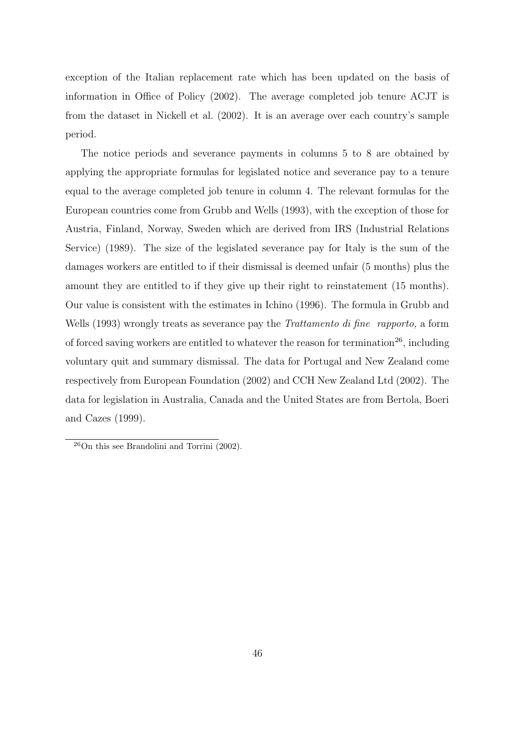exception of the Italian replacement rate which has been updated on the basis of information in Office of Policy (2002). The average completed job tenure ACJT is from the dataset in Nickell et al. (2002). It is an average over each country's sample period.

The notice periods and severance payments in columns 5 to 8 are obtained by applying the appropriate formulas for legislated notice and severance pay to a tenure equal to the average completed job tenure in column 4. The relevant formulas for the European countries come from Grubb and Wells (1993), with the exception of those for Austria, Finland, Norway, Sweden which are derived from IRS (Industrial Relations Service) (1989). The size of the legislated severance pay for Italy is the sum of the damages workers are entitled to if their dismissal is deemed unfair (5 months) plus the amount they are entitled to if they give up their right to reinstatement (15 months). Our value is consistent with the estimates in Ichino (1996). The formula in Grubb and Wells (1993) wrongly treats as severance pay the *Trattamento di fine rapporto*, a form of forced saving workers are entitled to whatever the reason for termination<sup>26</sup>, including voluntary quit and summary dismissal. The data for Portugal and New Zealand come respectively from European Foundation (2002) and CCH New Zealand Ltd (2002). The data for legislation in Australia, Canada and the United States are from Bertola, Boeri and Cazes (1999).

 $^{26}$ On this see Brandolini and Torrini (2002).